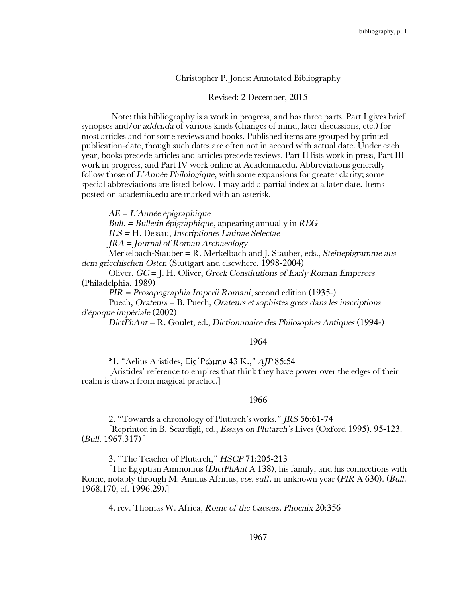# Christopher P. Jones: Annotated Bibliography

#### Revised: 2 December, 2015

[Note: this bibliography is a work in progress, and has three parts. Part I gives brief synopses and/or *addenda* of various kinds (changes of mind, later discussions, etc.) for most articles and for some reviews and books. Published items are grouped by printed publication-date, though such dates are often not in accord with actual date. Under each year, books precede articles and articles precede reviews. Part II lists work in press, Part III work in progress, and Part IV work online at Academia.edu. Abbreviations generally follow those of *L'Année Philologique*, with some expansions for greater clarity; some special abbreviations are listed below. I may add a partial index at a later date. Items posted on academia.edu are marked with an asterisk.

*AE* = *L'Année épigraphique* 

*Bull. = Bulletin épigraphique*, appearing annually in *REG* 

*ILS =* H. Dessau, *Inscriptiones Latinae Selectae* 

*JRA* = *Journal of Roman Archaeology*

Merkelbach-Stauber = R. Merkelbach and J. Stauber, eds., *Steinepigramme aus dem griechischen Osten* (Stuttgart and elsewhere, 1998-2004)

Oliver, *GC* = J. H. Oliver, *Greek Constitutions of Early Roman Emperors* (Philadelphia, 1989)

*PIR* = *Prosopographia Imperii Romani*, second edition (1935-)

Puech, *Orateurs* = B. Puech, *Orateurs et sophistes grecs dans les inscriptions d'époque impériale* (2002)

*DictPhAnt* = R. Goulet, ed., *Dictionnnaire des Philosophes Antiques* (1994-)

#### 1964

\*1. "Aelius Aristides, Εἰς ῾Ρώμην 43 K.," *AJP* 85:54

[Aristides' reference to empires that think they have power over the edges of their realm is drawn from magical practice.]

#### 1966

2**.** "Towards a chronology of Plutarch's works," *JRS* 56:61-74 [Reprinted in B. Scardigli, ed., *Essays on Plutarch's* Lives (Oxford 1995), 95-123. (*Bull.* 1967.317) ]

3. "The Teacher of Plutarch," *HSCP* 71:205-213

[The Egyptian Ammonius (*DictPhAnt* A 138), his family, and his connections with Rome, notably through M. Annius Afrinus, *cos. suff*. in unknown year (*PIR* A 630). (*Bull.* 1968.170, cf. 1996.29).]

4. rev. Thomas W. Africa, *Rome of the Caesars. Phoenix* 20:356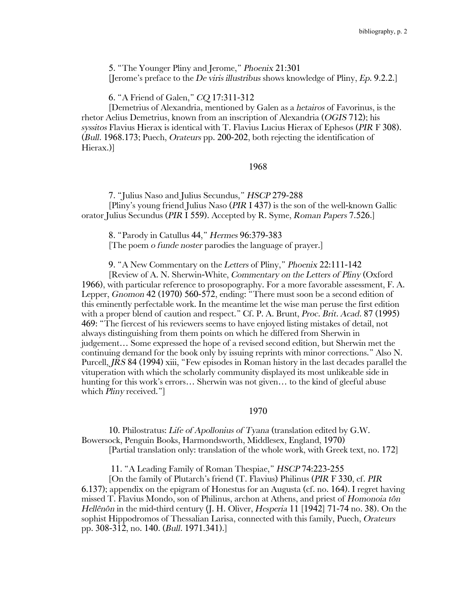5. "The Younger Pliny and Jerome," *Phoenix* 21:301 [Jerome's preface to the *De viris illustribus* shows knowledge of Pliny, *Ep*. 9.2.2.]

6. "A Friend of Galen," *CQ* 17:311-312

[Demetrius of Alexandria, mentioned by Galen as a *hetairos* of Favorinus, is the rhetor Aelius Demetrius, known from an inscription of Alexandria (*OGIS* 712); his *syssitos* Flavius Hierax is identical with T. Flavius Lucius Hierax of Ephesos (*PIR* F 308). (*Bull.* 1968.173; Puech, *Orateurs* pp. 200-202, both rejecting the identification of Hierax.)]

1968

7. "Julius Naso and Julius Secundus," *HSCP* 279-288 [Pliny's young friend Julius Naso (*PIR* I 437) is the son of the well-known Gallic orator Julius Secundus (*PIR* I 559). Accepted by R. Syme, *Roman Papers* 7.526.]

8. "Parody in Catullus 44," *Hermes* 96:379-383 [The poem *o funde noster* parodies the language of prayer.]

9. "A New Commentary on the *Letters* of Pliny," *Phoenix* 22:111-142

[Review of A. N. Sherwin-White, *Commentary on the Letters of Pliny* (Oxford 1966), with particular reference to prosopography. For a more favorable assessment, F. A. Lepper, *Gnomon* 42 (1970) 560-572, ending: "There must soon be a second edition of this eminently perfectable work. In the meantime let the wise man peruse the first edition with a proper blend of caution and respect." Cf. P. A. Brunt, *Proc. Brit. Acad*. 87 (1995) 469: "The fiercest of his reviewers seems to have enjoyed listing mistakes of detail, not always distinguishing from them points on which he differed from Sherwin in judgement… Some expressed the hope of a revised second edition, but Sherwin met the continuing demand for the book only by issuing reprints with minor corrections." Also N. Purcell, *JRS* 84 (1994) xiii, "Few episodes in Roman history in the last decades parallel the vituperation with which the scholarly community displayed its most unlikeable side in hunting for this work's errors… Sherwin was not given… to the kind of gleeful abuse which *Pliny* received."]

# 1970

10. Philostratus: *Life of Apollonius of Tyana* (translation edited by G.W. Bowersock, Penguin Books, Harmondsworth, Middlesex, England, 1970) [Partial translation only: translation of the whole work, with Greek text, no. 172]

11. "A Leading Family of Roman Thespiae," *HSCP* 74:223-255

[On the family of Plutarch's friend (T. Flavius) Philinus (*PIR* F 330, cf. *PIR* 6.137); appendix on the epigram of Honestus for an Augusta (cf. no. 164). I regret having missed T. Flavius Mondo, son of Philinus, archon at Athens, and priest of *Homonoia tôn Hellênôn* in the mid-third century (J. H. Oliver, *Hesperia* 11 [1942] 71-74 no. 38). On the sophist Hippodromos of Thessalian Larisa, connected with this family, Puech, *Orateurs* pp. 308-312, no. 140. (*Bull.* 1971.341).]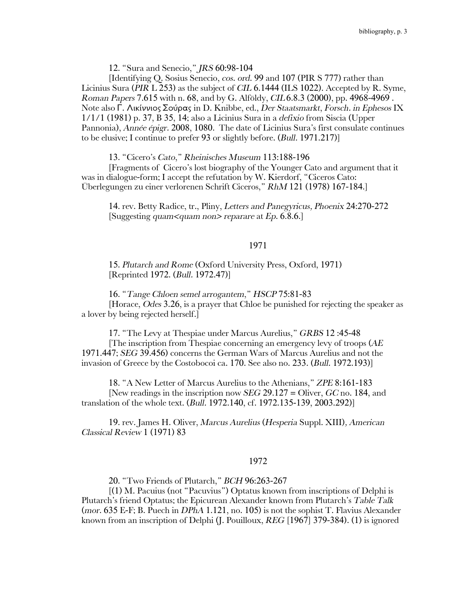12. "Sura and Senecio," *JRS* 60:98-104

[Identifying Q. Sosius Senecio, *cos. ord*. 99 and 107 (PIR S 777) rather than Licinius Sura (*PIR* L 253) as the subject of *CIL* 6.1444 (ILS 1022). Accepted by R. Syme, *Roman Papers* 7.615 with n. 68, and by G. Alföldy, *CIL*6.8.3 (2000), pp. 4968-4969 . Note also Γ. ΛικίννιοςΣούρας in D. Knibbe, ed., *Der Staatsmarkt*, *Forsch. in Ephesos* IX 1/1/1 (1981) p. 37, B 35, 14; also a Licinius Sura in a *defixio* from Siscia (Upper Pannonia), *Année épigr.* 2008, 1080. The date of Licinius Sura's first consulate continues to be elusive; I continue to prefer 93 or slightly before. (*Bull.* 1971.217)]

13. "Cicero's *Cato*," *Rheinisches Museum* 113:188-196

[Fragments of Cicero's lost biography of the Younger Cato and argument that it was in dialogue-form; I accept the refutation by W. Kierdorf, "Ciceros Cato: Überlegungen zu einer verlorenen Schrift Ciceros," *RhM* 121 (1978) 167-184.]

14. rev. Betty Radice, tr., Pliny, *Letters and Panegyricus, Phoenix* 24:270-272 [Suggesting *quam<quam non> reparare* at *Ep*. 6.8.6.]

## 1971

15. *Plutarch and Rome* (Oxford University Press, Oxford, 1971) [Reprinted 1972. (*Bull.* 1972.47)]

16. "*Tange Chloen semel arrogantem*," *HSCP* 75:81-83

[Horace, *Odes* 3.26, is a prayer that Chloe be punished for rejecting the speaker as a lover by being rejected herself.]

17. "The Levy at Thespiae under Marcus Aurelius," *GRBS* 12 :45-48 [The inscription from Thespiae concerning an emergency levy of troops (*AE* 1971.447; *SEG* 39.456) concerns the German Wars of Marcus Aurelius and not the invasion of Greece by the Costobocoi ca. 170. See also no. 233. (*Bull.* 1972.193)]

18. "A New Letter of Marcus Aurelius to the Athenians," *ZPE* 8:161-183 [New readings in the inscription now *SEG* 29.127 = Oliver, *GC* no. 184, and translation of the whole text. (*Bull.* 1972.140, cf. 1972.135-139, 2003.292)]

19. rev. James H. Oliver, *Marcus Aurelius* (*Hesperia* Suppl. XIII)*, American Classical Review* 1 (1971) 83

### 1972

20. "Two Friends of Plutarch," *BCH* 96:263-267

[(1) M. Pacuius (not "Pacuvius") Optatus known from inscriptions of Delphi is Plutarch's friend Optatus; the Epicurean Alexander known from Plutarch's *Table Talk* (*mor*. 635 E-F; B. Puech in *DPhA* 1.121, no. 105) is not the sophist T. Flavius Alexander known from an inscription of Delphi (J. Pouilloux, *REG* [1967] 379-384). (1) is ignored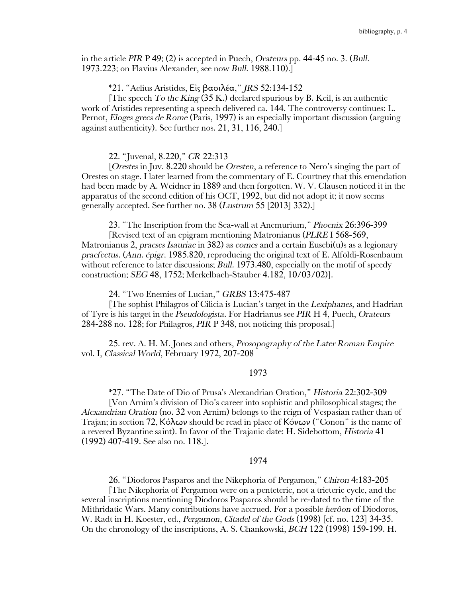in the article *PIR* P 49; (2) is accepted in Puech, *Orateurs* pp. 44-45 no. 3. (*Bull.* 1973.223; on Flavius Alexander, see now *Bull.* 1988.110).]

## \*21. "Aelius Aristides, Εἰς βασιλέα," *JRS* 52:134-152

[The speech *To the King* (35 K.) declared spurious by B. Keil, is an authentic work of Aristides representing a speech delivered ca. 144. The controversy continues: L. Pernot, *Eloges grecs de Rome* (Paris, 1997) is an especially important discussion (arguing against authenticity). See further nos. 21, 31, 116, 240.]

#### 22. "Juvenal, 8.220," *CR* 22:313

[*Orestes* in Juv. 8.220 should be *Oresten*, a reference to Nero's singing the part of Orestes on stage. I later learned from the commentary of E. Courtney that this emendation had been made by A. Weidner in 1889 and then forgotten. W. V. Clausen noticed it in the apparatus of the second edition of his OCT, 1992, but did not adopt it; it now seems generally accepted. See further no. 38 (*Lustrum* 55 [2013] 332).]

23. "The Inscription from the Sea-wall at Anemurium," *Phoenix* 26:396-399

[Revised text of an epigram mentioning Matronianus (*PLRE* I 568-569, Matronianus 2, *praeses Isauriae* in 382) as *comes* and a certain Eusebi(u)s as a legionary *praefectus*. (*Ann. épigr*. 1985.820, reproducing the original text of E. Alföldi-Rosenbaum without reference to later discussions; *Bull.* 1973.480, especially on the motif of speedy construction; *SEG* 48, 1752; Merkelbach-Stauber 4.182, 10/03/02)].

24. "Two Enemies of Lucian," *GRBS* 13:475-487

[The sophist Philagros of Cilicia is Lucian's target in the *Lexiphanes*, and Hadrian of Tyre is his target in the *Pseudologista*. For Hadrianus see *PIR* H 4, Puech, *Orateurs* 284-288 no. 128; for Philagros, *PIR* P 348, not noticing this proposal.]

25. rev. A. H. M. Jones and others, *Prosopography of the Later Roman Empire* vol. I, *Classical World*, February 1972, 207-208

## 1973

\*27. "The Date of Dio of Prusa's Alexandrian Oration," *Historia* 22:302-309

[Von Arnim's division of Dio's career into sophistic and philosophical stages; the *Alexandrian Oration* (no. 32 von Arnim) belongs to the reign of Vespasian rather than of Trajan; in section 72, Κόλων should be read in place of Κόνων ("Conon" is the name of a revered Byzantine saint). In favor of the Trajanic date: H. Sidebottom, *Historia* 41 (1992) 407-419. See also no. 118.].

## 1974

26. "Diodoros Pasparos and the Nikephoria of Pergamon," *Chiron* 4:183-205

[The Nikephoria of Pergamon were on a penteteric, not a trieteric cycle, and the several inscriptions mentioning Diodoros Pasparos should be re-dated to the time of the Mithridatic Wars. Many contributions have accrued. For a possible *herôon* of Diodoros, W. Radt in H. Koester, ed., *Pergamon, Citadel of the Gods* (1998) [cf. no. 123] 34-35. On the chronology of the inscriptions, A. S. Chankowski, *BCH* 122 (1998) 159-199. H.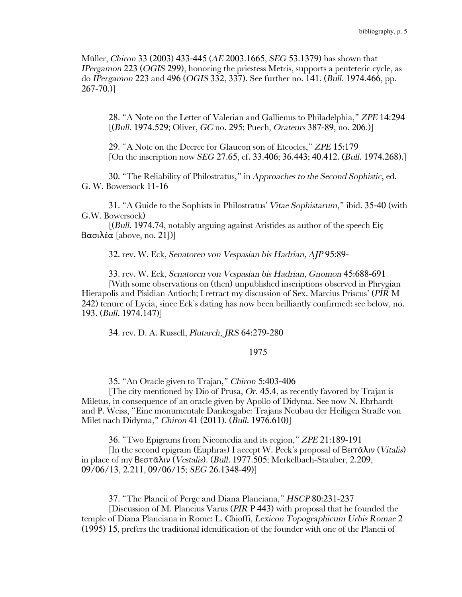Müller, *Chiron* 33 (2003) 433-445 (*AE* 2003.1665, *SEG* 53.1379) has shown that *IPergamon* 223 (*OGIS* 299), honoring the priestess Metris, supports a penteteric cycle, as do *IPergamon* 223 and 496 (*OGIS* 332, 337). See further no. 141. (*Bull.* 1974.466, pp.  $267 - 70.$ 

28. "A Note on the Letter of Valerian and Gallienus to Philadelphia," *ZPE* 14:294 [(*Bull.* 1974.529; Oliver, *GC* no. 295; Puech, *Orateurs* 387-89, no. 206.)]

29. "A Note on the Decree for Glaucon son of Eteocles," *ZPE* 15:179 [On the inscription now *SEG* 27.65, cf. 33.406; 36.443; 40.412. **(***Bull.* 1974.268).]

30. "The Reliability of Philostratus," in *Approaches to the Second Sophistic*, ed. G. W. Bowersock 11-16

31. "A Guide to the Sophists in Philostratus' *Vitae Sophistarum*," ibid. 35-40 (with G.W. Bowersock)

[(*Bull.* 1974.74, notably arguing against Aristides as author of the speech Εἰς Βασιλέα [above, no. 21])]

32. rev. W. Eck, *Senatoren von Vespasian bis Hadrian, AJP* 95:89-

33. rev. W. Eck, *Senatoren von Vespasian bis Hadrian, Gnomon* 45:688-691 [With some observations on (then) unpublished inscriptions observed in Phrygian Hierapolis and Pisidian Antioch; I retract my discussion of Sex. Marcius Priscus' (*PIR* M 242) tenure of Lycia, since Eck's dating has now been brilliantly confirmed: see below, no. 193. (*Bull.* 1974.147)]

34. rev. D. A. Russell, *Plutarch, JRS* 64:279-280

## 1975

35. "An Oracle given to Trajan," *Chiron* 5:403-406

[The city mentioned by Dio of Prusa, *Or*. 45.4, as recently favored by Trajan is Miletus, in consequence of an oracle given by Apollo of Didyma. See now N. Ehrhardt and P. Weiss, "Eine monumentale Dankesgabe: Trajans Neubau der Heiligen Straße von Milet nach Didyma," *Chiron* 41 (2011). (*Bull.* 1976.610)]

36. "Two Epigrams from Nicomedia and its region," *ZPE* 21:189-191

[In the second epigram (Euphras) I accept W. Peek's proposal of Βειτᾶλιν (*Vitalis*) in place of my Βεστᾶλιν (*Vestalis*). (*Bull.* 1977.505; Merkelbach-Stauber, 2.209, 09/06/13, 2.211, 09/06/15; *SEG* 26.1348-49)]

37. "The Plancii of Perge and Diana Planciana," *HSCP* 80:231-237

[Discussion of M. Plancius Varus (*PIR* P 443) with proposal that he founded the temple of Diana Planciana in Rome: L. Chioffi, *Lexicon Topographicum Urbis Romae* 2 (1995) 15, prefers the traditional identification of the founder with one of the Plancii of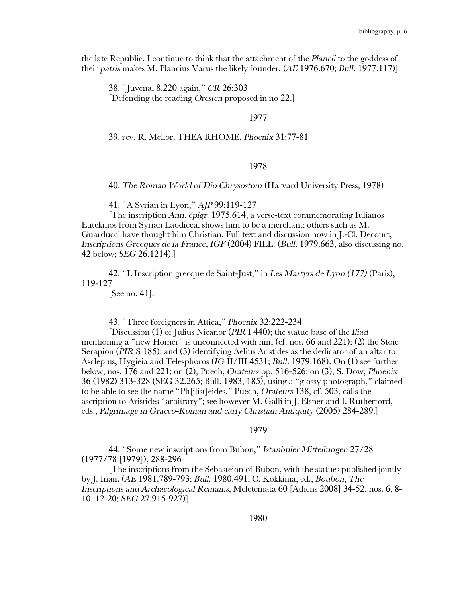the late Republic. I continue to think that the attachment of the *Plancii* to the goddess of their *patris* makes M. Plancius Varus the likely founder. (*AE* 1976.670; *Bull.* 1977.117)]

38. "Juvenal 8.220 again," *CR* 26:303 [Defending the reading *Oresten* proposed in no 22.]

## 1977

39. rev. R. Mellor, THEA RHOME, *Phoenix* 31:77-81

# 1978

40. *The Roman World of Dio Chrysostom* (Harvard University Press, 1978)

41. "A Syrian in Lyon," *AJP* 99:119-127

[The inscription *Ann. épigr*. 1975.614, a verse-text commemorating Iulianos Euteknios from Syrian Laodicea, shows him to be a merchant; others such as M. Guarducci have thought him Christian. Full text and discussion now in J.-Cl. Decourt, *Inscriptions Grecques de la France, IGF* (2004) FILL. (*Bull.* 1979.663, also discussing no. 42 below; *SEG* 26.1214).]

42. "L'Inscription grecque de Saint-Just," in *Les Martyrs de Lyon (177)* (Paris), 119-127

[See no. 41].

43. "Three foreigners in Attica," *Phoenix* 32:222-234

[Discussion (1) of Julius Nicanor (*PIR* I 440); the statue base of the *Iliad* mentioning a "new Homer" is unconnected with him (cf. nos. 66 and 221); (2) the Stoic Serapion (*PIR* S 185); and (3) identifying Aelius Aristides as the dedicator of an altar to Asclepius, Hygieia and Telesphoros (*IG* II/III 4531; *Bull.* 1979.168). On (1) see further below, nos. 176 and 221; on (2), Puech, *Orateurs* pp. 516-526; on (3), S. Dow, *Phoenix*  36 (1982) 313-328 (SEG 32.265; Bull. 1983, 185), using a "glossy photograph," claimed to be able to see the name "Ph[ilist]eides." Puech, *Orateurs* 138, cf. 503, calls the ascription to Aristides "arbitrary"; see however M. Galli in J. Elsner and I. Rutherford, eds., *Pilgrimage in Graeco-Roman and early Christian Antiquity* (2005) 284-289.]

#### 1979

44. "Some new inscriptions from Bubon," *Istanbuler Mitteilungen* 27/28 (1977/78 [1979]), 288-296

[The inscriptions from the Sebasteion of Bubon, with the statues published jointly by J. Inan. (*AE* 1981.789-793; *Bull.* 1980.491; C. Kokkinia, ed., *Boubon*, *The Inscriptions and Archaeological Remains*, Meletemata 60 [Athens 2008] 34-52, nos. 6, 8- 10, 12-20; *SEG* 27.915-927)]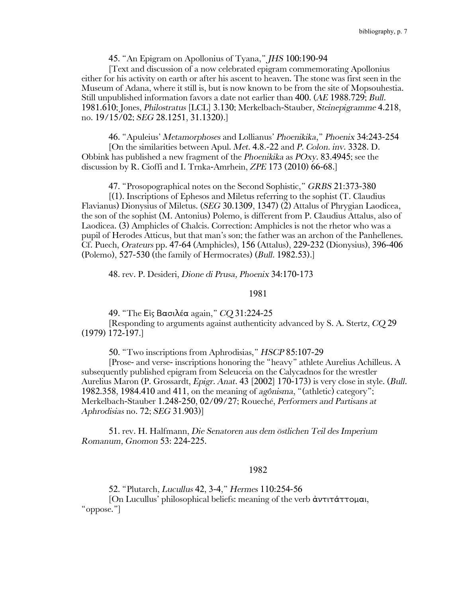45. "An Epigram on Apollonius of Tyana," *JHS* 100:190-94

[Text and discussion of a now celebrated epigram commemorating Apollonius either for his activity on earth or after his ascent to heaven. The stone was first seen in the Museum of Adana, where it still is, but is now known to be from the site of Mopsouhestia. Still unpublished information favors a date not earlier than 400. (*AE* 1988.729; *Bull.* 1981.610; Jones, *Philostratus* [LCL] 3.130; Merkelbach-Stauber, *Steinepigramme* 4.218, no. 19/15/02; *SEG* 28.1251, 31.1320).]

46. "Apuleius' *Metamorphoses* and Lollianus' *Phoenikika*," *Phoenix* 34:243-254 [On the similarities between Apul. *Met*. 4.8.-22 and *P. Colon. inv*. 3328. D. Obbink has published a new fragment of the *Phoenikika* as *POxy*. 83.4945; see the discussion by R. Cioffi and I. Trnka-Amrhein, *ZPE* 173 (2010) 66-68.]

47. "Prosopographical notes on the Second Sophistic," *GRBS* 21:373-380

[(1). Inscriptions of Ephesos and Miletus referring to the sophist (T. Claudius Flavianus) Dionysius of Miletus. (*SEG* 30.1309, 1347) (2) Attalus of Phrygian Laodicea, the son of the sophist (M. Antonius) Polemo, is different from P. Claudius Attalus, also of Laodicea. (3) Amphicles of Chalcis. Correction: Amphicles is not the rhetor who was a pupil of Herodes Atticus, but that man's son; the father was an archon of the Panhellenes. Cf. Puech, *Orateurs* pp. 47-64 (Amphicles), 156 (Attalus), 229-232 (Dionysius), 396-406 (Polemo), 527-530 (the family of Hermocrates) (*Bull.* 1982.53).]

48. rev. P. Desideri, *Dione di Prusa, Phoenix* 34:170-173

## 1981

49. "The Εἰς Βασιλέα again," *CQ* 31:224-25

[Responding to arguments against authenticity advanced by S. A. Stertz, *CQ* 29 (1979) 172-197.]

50. "Two inscriptions from Aphrodisias," *HSCP* 85:107-29

[Prose- and verse- inscriptions honoring the "heavy" athlete Aurelius Achilleus. A subsequently published epigram from Seleuceia on the Calycadnos for the wrestler Aurelius Maron (P. Grossardt, *Epigr. Anat*. 43 [2002] 170-173) is very close in style. (*Bull.* 1982.358, 1984.410 and 411, on the meaning of *agônisma*, "(athletic) category"; Merkelbach-Stauber 1.248-250, 02/09/27; Roueché, *Performers and Partisans at Aphrodisias* no. 72; *SEG* 31.903)]

51. rev. H. Halfmann, *Die Senatoren aus dem östlichen Teil des Imperium Romanum, Gnomon* 53: 224-225.

## 1982

52. "Plutarch, *Lucullus* 42, 3-4," *Hermes* 110:254-56

[On Lucullus' philosophical beliefs: meaning of the verb ἀντιτάττομαι, "oppose."]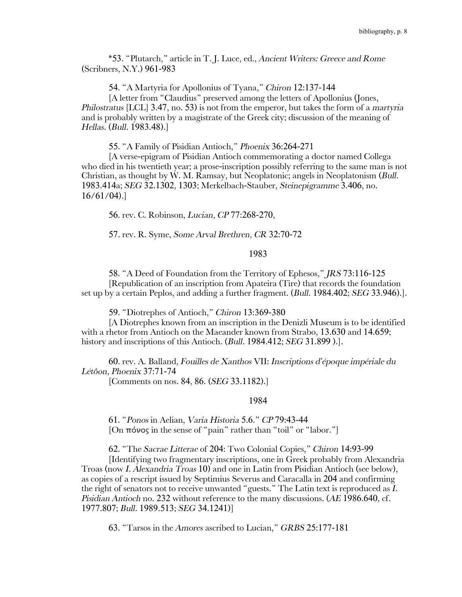\*53. "Plutarch," article in T. J. Luce, ed., *Ancient Writers: Greece and Rome* (Scribners, N.Y.) 961-983

54. "A Martyria for Apollonius of Tyana," *Chiron* 12:137-144

[A letter from "Claudius" preserved among the letters of Apollonius (Jones, *Philostratus* [LCL] 3.47, no. 53) is not from the emperor, but takes the form of a *martyria*  and is probably written by a magistrate of the Greek city; discussion of the meaning of *Hellas*. (*Bull.* 1983.48).]

55. "A Family of Pisidian Antioch," *Phoenix* 36:264-271

[A verse-epigram of Pisidian Antioch commemorating a doctor named Collega who died in his twentieth year; a prose-inscription possibly referring to the same man is not Christian, as thought by W. M. Ramsay, but Neoplatonic; angels in Neoplatonism (*Bull*. 1983.414a; *SEG* 32.1302, 1303; Merkelbach-Stauber, *Steinepigramme* 3.406, no. 16/61/04).]

56. rev. C. Robinson, *Lucian, CP* 77:268-270,

57. rev. R. Syme, *Some Arval Brethren, CR* 32:70-72

## 1983

58. "A Deed of Foundation from the Territory of Ephesos," *JRS* 73:116-125 [Republication of an inscription from Apateira (Tire) that records the foundation set up by a certain Peplos, and adding a further fragment. (*Bull.* 1984.402; *SEG* 33.946).].

59. "Diotrephes of Antioch," *Chiron* 13:369-380

[A Diotrephes known from an inscription in the Denizli Museum is to be identified with a rhetor from Antioch on the Maeander known from Strabo, 13.630 and 14.659; history and inscriptions of this Antioch. (*Bull.* 1984.412; *SEG* 31.899 ).].

60. rev. A. Balland, *Fouilles de Xanthos* VII: *Inscriptions d'époque impériale du Létôon, Phoenix* 37:71-74

[Comments on nos. 84, 86. (*SEG* 33.1182).]

#### 1984

61. "*Ponos* in Aelian, *Varia Historia* 5.6." *CP* 79:43-44 [On πόνος in the sense of "pain" rather than "toil" or "labor."]

62. "The *Sacrae Litterae* of 204: Two Colonial Copies," *Chiron* 14:93-99

[Identifying two fragmentary inscriptions, one in Greek probably from Alexandria Troas (now *I. Alexandria Troas* 10) and one in Latin from Pisidian Antioch (see below), as copies of a rescript issued by Septimius Severus and Caracalla in 204 and confirming the right of senators not to receive unwanted "guests." The Latin text is reproduced as *I. Pisidian Antioch* no. 232 without reference to the many discussions. (*AE* 1986.640, cf. 1977.807; *Bull.* 1989.513; *SEG* 34.1241)]

63. "Tarsos in the *Amores* ascribed to Lucian," *GRBS* 25:177-181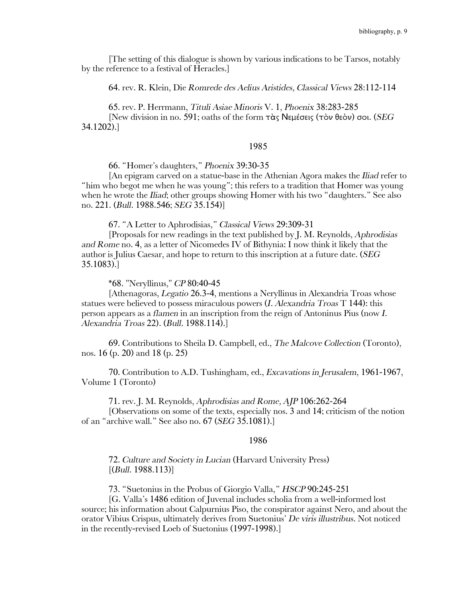[The setting of this dialogue is shown by various indications to be Tarsos, notably by the reference to a festival of Heracles.]

64. rev. R. Klein, Die *Romrede des Aelius Aristides, Classical Views* 28:112-114

65. rev. P. Herrmann, *Tituli Asiae Minoris* V. 1, *Phoenix* 38:283-285 [New division in no. 591; oaths of the form τὰς Νεμέσεις (τὸν θεὸν) σοι. (*SEG* 34.1202).]

## 1985

66. "Homer's daughters," *Phoenix* 39:30-35

[An epigram carved on a statue-base in the Athenian Agora makes the *Iliad* refer to "him who begot me when he was young"; this refers to a tradition that Homer was young when he wrote the *Iliad*; other groups showing Homer with his two "daughters." See also no. 221. (*Bull.* 1988.546; *SEG* 35.154)]

67. "A Letter to Aphrodisias," *Classical Views* 29:309-31

[Proposals for new readings in the text published by J. M. Reynolds, *Aphrodisias and Rome* no. 4, as a letter of Nicomedes IV of Bithynia: I now think it likely that the author is Julius Caesar, and hope to return to this inscription at a future date. (*SEG* 35.1083).]

\*68. "Neryllinus," *CP* 80:40-45

[Athenagoras, *Legatio* 26.3-4, mentions a Neryllinus in Alexandria Troas whose statues were believed to possess miraculous powers (*I. Alexandria Troas* T 144): this person appears as a *flamen* in an inscription from the reign of Antoninus Pius (now *I. Alexandria Troas* 22). (*Bull.* 1988.114).]

69. Contributions to Sheila D. Campbell, ed., *The Malcove Collection* (Toronto), nos. 16 (p. 20) and 18 (p. 25)

70. Contribution to A.D. Tushingham, ed., *Excavations in Jerusalem*, 1961-1967, Volume 1 (Toronto)

71. rev. J. M. Reynolds, *Aphrodisias and Rome, AJP* 106:262-264

[Observations on some of the texts, especially nos. 3 and 14; criticism of the notion of an "archive wall." See also no. 67 (*SEG* 35.1081).]

### 1986

72*. Culture and Society in Lucian* (Harvard University Press) [(*Bull.* 1988.113)]

73. "Suetonius in the Probus of Giorgio Valla," *HSCP* 90:245-251

[G. Valla's 1486 edition of Juvenal includes scholia from a well-informed lost source; his information about Calpurnius Piso, the conspirator against Nero, and about the orator Vibius Crispus, ultimately derives from Suetonius' *De viris illustribus*. Not noticed in the recently-revised Loeb of Suetonius (1997-1998).]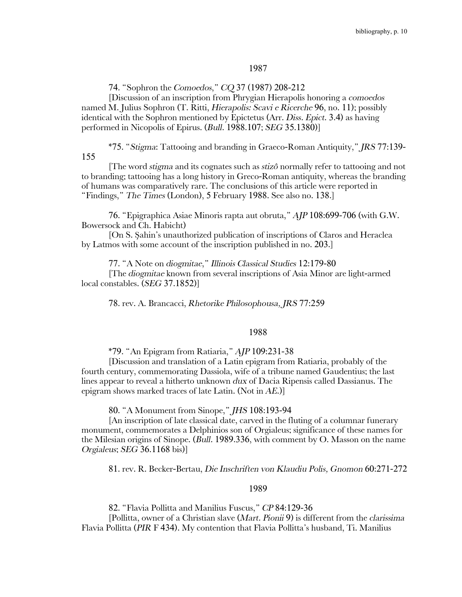### 1987

74. "Sophron the *Comoedos*," *CQ* 37 (1987) 208-212

[Discussion of an inscription from Phrygian Hierapolis honoring a *comoedos* named M. Julius Sophron (T. Ritti, *Hierapolis: Scavi e Ricerche* 96, no. 11); possibly identical with the Sophron mentioned by Epictetus (Arr. *Diss. Epict*. 3.4) as having performed in Nicopolis of Epirus. (*Bull*. 1988.107; *SEG* 35.1380)]

\*75. "*Stigma*: Tattooing and branding in Graeco-Roman Antiquity," *JRS* 77:139- 155

[The word *stigma* and its cognates such as *stizô* normally refer to tattooing and not to branding; tattooing has a long history in Greco-Roman antiquity, whereas the branding of humans was comparatively rare. The conclusions of this article were reported in "Findings," *The Times* (London), 5 February 1988. See also no. 138.]

76. "Epigraphica Asiae Minoris rapta aut obruta," *AJP* 108:699-706 (with G.W. Bowersock and Ch. Habicht)

[On S. Şahin's unauthorized publication of inscriptions of Claros and Heraclea by Latmos with some account of the inscription published in no. 203.]

77. "A Note on *diogmitae*," *Illinois Classical Studies* 12:179-80

[The *diogmitae* known from several inscriptions of Asia Minor are light-armed local constables. (*SEG* 37.1852)]

78. rev. A. Brancacci, *Rhetorike Philosophousa, JRS* 77:259

### 1988

\*79. "An Epigram from Ratiaria," *AJP* 109:231-38

[Discussion and translation of a Latin epigram from Ratiaria, probably of the fourth century, commemorating Dassiola, wife of a tribune named Gaudentius; the last lines appear to reveal a hitherto unknown *dux* of Dacia Ripensis called Dassianus. The epigram shows marked traces of late Latin. (Not in *AE*.)]

80. "A Monument from Sinope," *JHS* 108:193-94

[An inscription of late classical date, carved in the fluting of a columnar funerary monument, commemorates a Delphinios son of Orgialeus; significance of these names for the Milesian origins of Sinope. (*Bull.* 1989.336, with comment by O. Masson on the name *Orgialeus*; *SEG* 36.1168 bis)]

81. rev. R. Becker-Bertau, *Die Inschriften von Klaudiu Polis, Gnomon* 60:271-272

#### 1989

82. "Flavia Pollitta and Manilius Fuscus," *CP* 84:129-36

[Pollitta, owner of a Christian slave (*Mart. Pionii* 9) is different from the *clarissima*  Flavia Pollitta (*PIR* F 434). My contention that Flavia Pollitta's husband, Ti. Manilius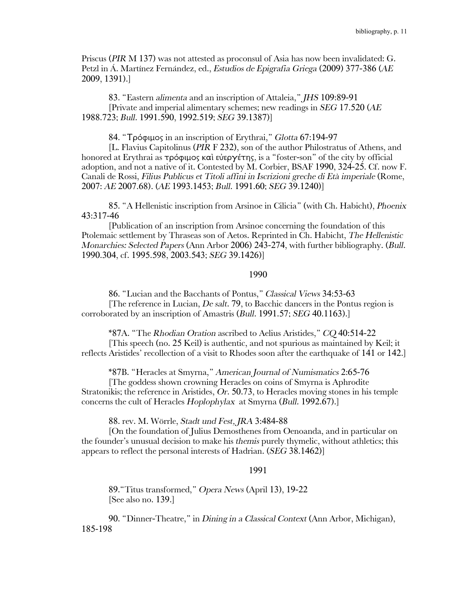Priscus (*PIR* M 137) was not attested as proconsul of Asia has now been invalidated: G. Petzl in Á. Martínez Fernández, ed., *Estudios de Epigrafia Griega* (2009) 377-386 (*AE* 2009, 1391).]

83. "Eastern *alimenta* and an inscription of Attaleia," *JHS* 109:89-91 [Private and imperial alimentary schemes; new readings in *SEG* 17.520 (*AE* 1988.723; *Bull.* 1991.590, 1992.519; *SEG* 39.1387)]

84. "Τρόφιμος in an inscription of Erythrai," *Glotta* 67:194-97

[L. Flavius Capitolinus (*PIR* F 232), son of the author Philostratus of Athens, and honored at Erythrai as τρόφιμος καὶ εὐεργέτης, is a "foster-son" of the city by official adoption, and not a native of it. Contested by M. Corbier, BSAF 1990, 324-25. Cf. now F. Canali de Rossi, *Filius Publicus et Titoli affini in Iscrizioni greche di Età imperiale* (Rome, 2007: *AE* 2007.68). (*AE* 1993.1453; *Bull.* 1991.60; *SEG* 39.1240)]

85. "A Hellenistic inscription from Arsinoe in Cilicia" (with Ch. Habicht), *Phoenix* 43:317-46

[Publication of an inscription from Arsinoe concerning the foundation of this Ptolemaic settlement by Thraseas son of Aetos. Reprinted in Ch. Habicht, *The Hellenistic Monarchies: Selected Papers* (Ann Arbor 2006) 243-274, with further bibliography. (*Bull.* 1990.304, cf. 1995.598, 2003.543; *SEG* 39.1426)]

## 1990

86. "Lucian and the Bacchants of Pontus," *Classical Views* 34:53-63 [The reference in Lucian, *De salt*. 79, to Bacchic dancers in the Pontus region is corroborated by an inscription of Amastris (*Bull.* 1991.57; *SEG* 40.1163).]

\*87A. "The *Rhodian Oration* ascribed to Aelius Aristides," *CQ* 40:514-22 [This speech (no. 25 Keil) is authentic, and not spurious as maintained by Keil; it reflects Aristides' recollection of a visit to Rhodes soon after the earthquake of 141 or 142.]

\*87B. "Heracles at Smyrna," *American Journal of Numismatics* 2:65-76

[The goddess shown crowning Heracles on coins of Smyrna is Aphrodite Stratonikis; the reference in Aristides, *Or*. 50.73, to Heracles moving stones in his temple concerns the cult of Heracles *Hoplophylax* at Smyrna (*Bull.* 1992.67).]

88. rev. M. Wörrle, *Stadt und Fest, JRA* 3:484-88

[On the foundation of Julius Demosthenes from Oenoanda, and in particular on the founder's unusual decision to make his *themis* purely thymelic, without athletics; this appears to reflect the personal interests of Hadrian. (*SEG* 38.1462)]

## 1991

89."Titus transformed," *Opera News* (April 13), 19-22 [See also no. 139.]

90. "Dinner-Theatre," in *Dining in a Classical Context* (Ann Arbor, Michigan), 185-198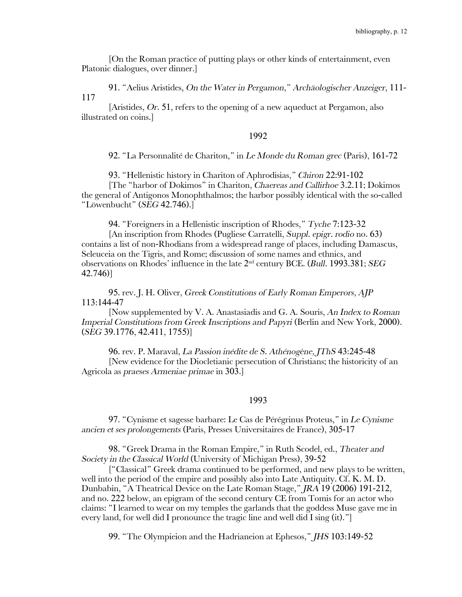[On the Roman practice of putting plays or other kinds of entertainment, even Platonic dialogues, over dinner.]

91. "Aelius Aristides, *On the Water in Pergamon*," *Archäologischer Anzeiger*, 111- 117

[Aristides, *Or*. 51, refers to the opening of a new aqueduct at Pergamon, also illustrated on coins.]

### 1992

92. "La Personnalité de Chariton," in *Le Monde du Roman grec* (Paris), 161-72

93. "Hellenistic history in Chariton of Aphrodisias," *Chiron* 22:91-102

[The "harbor of Dokimos" in Chariton, *Chaereas and Callirhoe* 3.2.11; Dokimos the general of Antigonos Monophthalmos; the harbor possibly identical with the so-called "Löwenbucht" (*SEG* 42.746).]

94. "Foreigners in a Hellenistic inscription of Rhodes," *Tyche* 7:123-32

[An inscription from Rhodes (Pugliese Carratelli, *Suppl. epigr. rodio* no. 63) contains a list of non-Rhodians from a widespread range of places, including Damascus, Seleuceia on the Tigris, and Rome; discussion of some names and ethnics, and observations on Rhodes' influence in the late 2nd century BCE. (*Bull*. 1993.381; *SEG* 42.746)]

95. rev. J. H. Oliver, *Greek Constitutions of Early Roman Emperors, AJP* 113:144-47

[Now supplemented by V. A. Anastasiadis and G. A. Souris, *An Index to Roman Imperial Constitutions from Greek Inscriptions and Papyri (Berlin and New York, 2000).* (*SEG* 39.1776, 42.411, 1755)]

96. rev. P. Maraval, *La Passion inédite de S. Athénogène, JThS* 43:245-48 [New evidence for the Diocletianic persecution of Christians; the historicity of an Agricola as *praeses Armeniae primae* in 303.]

#### 1993

97. "Cynisme et sagesse barbare: Le Cas de Pérégrinus Proteus," in *Le Cynisme ancien et ses prolongements* (Paris, Presses Universitaires de France), 305-17

98. "Greek Drama in the Roman Empire," in Ruth Scodel, ed., *Theater and Society in the Classical World* (University of Michigan Press), 39-52

["Classical" Greek drama continued to be performed, and new plays to be written, well into the period of the empire and possibly also into Late Antiquity. Cf. K. M. D. Dunbabin, "A Theatrical Device on the Late Roman Stage," *JRA* 19 (2006) 191-212, and no. 222 below, an epigram of the second century CE from Tomis for an actor who claims: "I learned to wear on my temples the garlands that the goddess Muse gave me in every land, for well did I pronounce the tragic line and well did I sing (it)."]

99. "The Olympieion and the Hadrianeion at Ephesos," *JHS* 103:149-52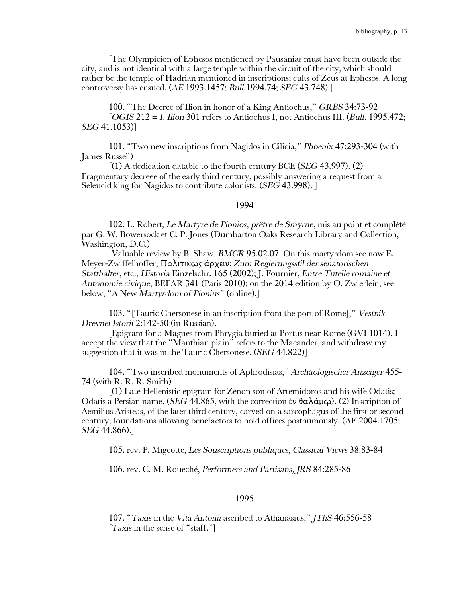[The Olympieion of Ephesos mentioned by Pausanias must have been outside the city, and is not identical with a large temple within the circuit of the city, which should rather be the temple of Hadrian mentioned in inscriptions; cults of Zeus at Ephesos. A long controversy has ensued. (*AE* 1993.1457; *Bull*.1994*.*74; *SEG* 43.748).]

100. "The Decree of Ilion in honor of a King Antiochus," *GRBS* 34:73-92 [*OGIS* 212 = *I. Ilion* 301 refers to Antiochus I, not Antiochus III. (*Bull*. 1995.472; *SEG* 41.1053)]

101. "Two new inscriptions from Nagidos in Cilicia," *Phoenix* 47:293-304 (with James Russell)

[(1) A dedication datable to the fourth century BCE (*SEG* 43.997). (2) Fragmentary decreee of the early third century, possibly answering a request from a Seleucid king for Nagidos to contribute colonists. (*SEG* 43.998). ]

#### 1994

102. L. Robert, *Le Martyre de Pionios, prêtre de Smyrne*, mis au point et complété par G. W. Bowersock et C. P. Jones (Dumbarton Oaks Research Library and Collection, Washington, D.C.)

[Valuable review by B. Shaw, *BMCR* 95.02.07. On this martyrdom see now E. Meyer-Zwiffelhoffer, Πολιτικῶς ἄρχειν: *Zum Regierungsstil der senatorischen Statthalter*, etc., *Historia* Einzelschr. 165 (2002); J. Fournier, *Entre Tutelle romaine et Autonomie civique*, BEFAR 341 (Paris 2010); on the 2014 edition by O. Zwierlein, see below, "A New *Martyrdom of Pionius*" (online).]

103. "[Tauric Chersonese in an inscription from the port of Rome]," *Vestnik Drevnei Istorii* 2:142-50 (in Russian).

[Epigram for a Magnes from Phrygia buried at Portus near Rome (GVI 1014). I accept the view that the "Manthian plain" refers to the Maeander, and withdraw my suggestion that it was in the Tauric Chersonese. (*SEG* 44.822)]

104. "Two inscribed monuments of Aphrodisias," *Archäologischer Anzeiger* 455- 74 (with R. R. R. Smith)

[(1) Late Hellenistic epigram for Zenon son of Artemidoros and his wife Odatis; Odatis a Persian name. (*SEG* 44.865, with the correction ἐν θαλάμῳ). (2) Inscription of Aemilius Aristeas, of the later third century, carved on a sarcophagus of the first or second century; foundations allowing benefactors to hold offices posthumously. (AE 2004.1705; *SEG* 44.866).]

105. rev. P. Migeotte, *Les Souscriptions publiques, Classical Views* 38:83-84

106. rev. C. M. Roueché, *Performers and Partisans, JRS* 84:285-86

### 1995

107. "*Taxis* in the *Vita Antonii* ascribed to Athanasius," *JThS* 46:556-58 [*Taxis* in the sense of "staff."]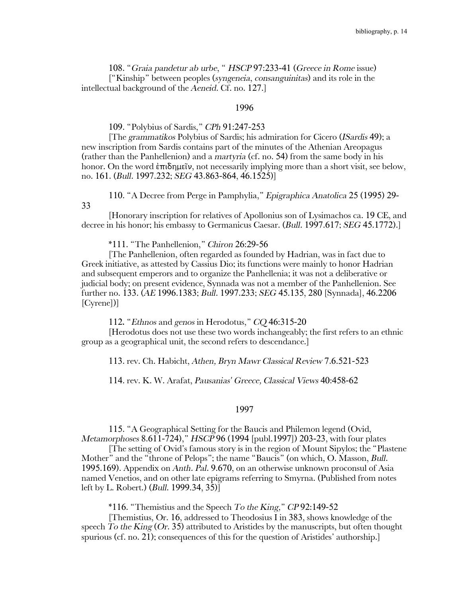108. "*Graia pandetur ab urbe*, " *HSCP* 97:233-41 (*Greece in Rome* issue) ["Kinship" between peoples (*syngeneia*, *consanguinitas*) and its role in the intellectual background of the *Aeneid*. Cf. no. 127.]

#### 1996

## 109. "Polybius of Sardis," *CPh* 91:247-253

[The *grammatikos* Polybius of Sardis; his admiration for Cicero (*ISardis* 49); a new inscription from Sardis contains part of the minutes of the Athenian Areopagus (rather than the Panhellenion) and a *martyria* (cf. no. 54) from the same body in his honor. On the word ἐπιδημεῖν, not necessarily implying more than a short visit, see below, no. 161. (*Bull.* 1997.232; *SEG* 43.863-864, 46.1525)]

110. "A Decree from Perge in Pamphylia," *Epigraphica Anatolica* 25 (1995) 29-

33

[Honorary inscription for relatives of Apollonius son of Lysimachos ca. 19 CE, and decree in his honor; his embassy to Germanicus Caesar. (*Bull.* 1997.617; *SEG* 45.1772).]

\*111. "The Panhellenion," *Chiron* 26:29-56

[The Panhellenion, often regarded as founded by Hadrian, was in fact due to Greek initiative, as attested by Cassius Dio; its functions were mainly to honor Hadrian and subsequent emperors and to organize the Panhellenia; it was not a deliberative or judicial body; on present evidence, Synnada was not a member of the Panhellenion. See further no. 133. (*AE* 1996.1383; *Bull.* 1997.233; *SEG* 45.135, 280 [Synnada], 46.2206 [Cyrene])]

112**.** "*Ethnos* and *genos* in Herodotus," *CQ* 46:315-20

[Herodotus does not use these two words inchangeably; the first refers to an ethnic group as a geographical unit, the second refers to descendance.]

113. rev. Ch. Habicht, *Athen, Bryn Mawr Classical Review* 7.6.521-523

114. rev. K. W. Arafat, *Pausanias' Greece, Classical Views* 40:458-62

#### 1997

115. "A Geographical Setting for the Baucis and Philemon legend (Ovid, *Metamorphoses* 8.611-724)," *HSCP* 96 (1994 [publ.1997]) 203-23, with four plates

[The setting of Ovid's famous story is in the region of Mount Sipylos; the "Plastene Mother" and the "throne of Pelops"; the name "Baucis" (on which, O. Masson, *Bull*. 1995.169). Appendix on *Anth. Pal*. 9.670, on an otherwise unknown proconsul of Asia named Venetios, and on other late epigrams referring to Smyrna. (Published from notes left by L. Robert.) (*Bull*. 1999.34, 35)]

\*116. "Themistius and the Speech *To the King,*" *CP* 92:149-52

[Themistius, Or. 16, addressed to Theodosius I in 383, shows knowledge of the speech *To the King* (*Or*. 35) attributed to Aristides by the manuscripts, but often thought spurious (cf. no. 21); consequences of this for the question of Aristides' authorship.]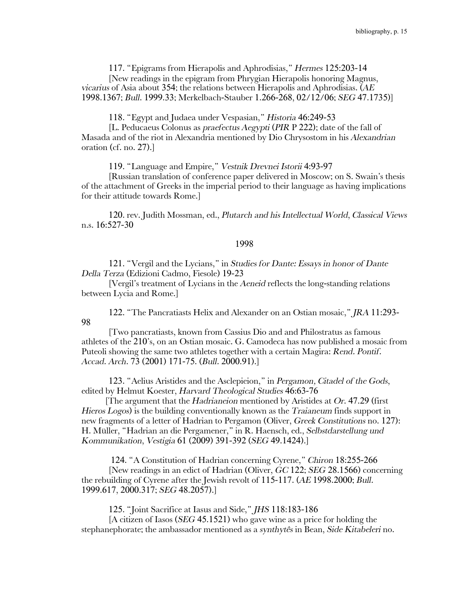117. "Epigrams from Hierapolis and Aphrodisias," *Hermes* 125:203-14

[New readings in the epigram from Phrygian Hierapolis honoring Magnus, *vicarius* of Asia about 354; the relations between Hierapolis and Aphrodisias. (*AE* 1998.1367; *Bull*. 1999.33; Merkelbach-Stauber 1.266-268, 02/12/06; *SEG* 47.1735)]

118. "Egypt and Judaea under Vespasian," *Historia* 46:249-53

[L. Peducaeus Colonus as *praefectus Aegypti* (*PIR* P 222); date of the fall of Masada and of the riot in Alexandria mentioned by Dio Chrysostom in his *Alexandrian* oration (cf. no. 27).]

119. "Language and Empire," *Vestnik Drevnei Istorii* 4:93-97

[Russian translation of conference paper delivered in Moscow; on S. Swain's thesis of the attachment of Greeks in the imperial period to their language as having implications for their attitude towards Rome.]

120. rev. Judith Mossman, ed., *Plutarch and his Intellectual World*, *Classical Views* n.s. 16:527-30

#### 1998

121. "Vergil and the Lycians," in *Studies for Dante: Essays in honor of Dante Della Terza* (Edizioni Cadmo, Fiesole) 19-23

[Vergil's treatment of Lycians in the *Aeneid* reflects the long-standing relations between Lycia and Rome.]

122. "The Pancratiasts Helix and Alexander on an Ostian mosaic," *JRA* 11:293- 98

[Two pancratiasts, known from Cassius Dio and and Philostratus as famous athletes of the 210's, on an Ostian mosaic. G. Camodeca has now published a mosaic from Puteoli showing the same two athletes together with a certain Magira: *Rend. Pontif. Accad. Arch*. 73 (2001) 171-75. (*Bull.* 2000.91).]

123. "Aelius Aristides and the Asclepieion," in *Pergamon, Citadel of the Gods*, edited by Helmut Koester, *Harvard Theological Studies* 46:63-76

[The argument that the *Hadrianeion* mentioned by Aristides at *Or*. 47.29 (first *Hieros Logos*) is the building conventionally known as the *Traianeum* finds support in new fragments of a letter of Hadrian to Pergamon (Oliver, *Greek Constitutions* no. 127): H. Müller, "Hadrian an die Pergamener," in R. Haensch, ed., *Selbstdarstellung und Kommunikation*, *Vestigia* 61 (2009) 391-392 (*SEG* 49.1424).]

124. "A Constitution of Hadrian concerning Cyrene," *Chiron* 18:255-266 [New readings in an edict of Hadrian (Oliver, *GC* 122; *SEG* 28.1566) concerning the rebuilding of Cyrene after the Jewish revolt of 115-117. (*AE* 1998.2000; *Bull.* 1999.617, 2000.317; *SEG* 48.2057).]

125. "Joint Sacrifice at Iasus and Side," *JHS* 118:183-186

[A citizen of Iasos (*SEG* 45.1521) who gave wine as a price for holding the stephanephorate; the ambassador mentioned as a *synthytês* in Bean, *Side Kitabeleri* no.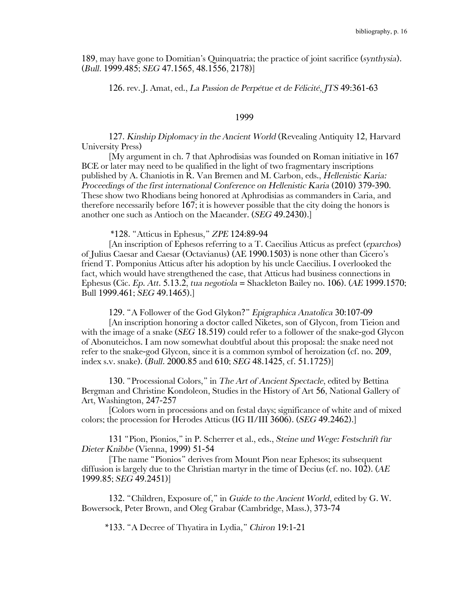189, may have gone to Domitian's Quinquatria; the practice of joint sacrifice (*synthysia*). (*Bull.* 1999.485; *SEG* 47.1565, 48.1556, 2178)]

126. rev. J. Amat, ed., *La Passion de Perpétue et de Félicité, JTS* 49:361-63

## 1999

127. *Kinship Diplomacy in the Ancient World* (Revealing Antiquity 12, Harvard University Press)

[My argument in ch. 7 that Aphrodisias was founded on Roman initiative in 167 BCE or later may need to be qualified in the light of two fragmentary inscriptions published by A. Chaniotis in R. Van Bremen and M. Carbon, eds., *Hellenistic Karia: Proceedings of the first international Conference on Hellenistic Karia* (2010) 379-390. These show two Rhodians being honored at Aphrodisias as commanders in Caria, and therefore necessarily before 167; it is however possible that the city doing the honors is another one such as Antioch on the Maeander. (*SEG* 49.2430).]

\*128. "Atticus in Ephesus," *ZPE* 124:89-94

[An inscription of Ephesos referring to a T. Caecilius Atticus as prefect (*eparchos*) of Julius Caesar and Caesar (Octavianus) (AE 1990.1503) is none other than Cicero's friend T. Pomponius Atticus after his adoption by his uncle Caecilius. I overlooked the fact, which would have strengthened the case, that Atticus had business connections in Ephesus (Cic. *Ep. Att*. 5.13.2, *tua negotiola* = Shackleton Bailey no. 106). (*AE* 1999.1570; Bull 1999.461; *SEG* 49.1465).]

129. "A Follower of the God Glykon?" *Epigraphica Anatolica* 30:107-09

[An inscription honoring a doctor called Niketes, son of Glycon, from Tieion and with the image of a snake (*SEG* 18.519) could refer to a follower of the snake-god Glycon of Abonuteichos. I am now somewhat doubtful about this proposal: the snake need not refer to the snake-god Glycon, since it is a common symbol of heroization (cf. no. 209, index s.v. snake). (*Bull.* 2000.85 and 610; *SEG* 48.1425, cf. 51.1725)]

130. "Processional Colors," in *The Art of Ancient Spectacle*, edited by Bettina Bergman and Christine Kondoleon, Studies in the History of Art 56, National Gallery of Art, Washington, 247-257

[Colors worn in processions and on festal days; significance of white and of mixed colors; the procession for Herodes Atticus (IG II/III 3606). (*SEG* 49.2462).]

131 "Pion, Pionios," in P. Scherrer et al., eds., *Steine und Wege: Festschrift für Dieter Knibbe* (Vienna, 1999) 51-54

[The name "Pionios" derives from Mount Pion near Ephesos; its subsequent diffusion is largely due to the Christian martyr in the time of Decius (cf. no. 102). (*AE* 1999.85; *SEG* 49.2451)]

132. "Children, Exposure of," in *Guide to the Ancient World*, edited by G. W. Bowersock, Peter Brown, and Oleg Grabar (Cambridge, Mass.), 373-74

\*133. "A Decree of Thyatira in Lydia," *Chiron* 19:1-21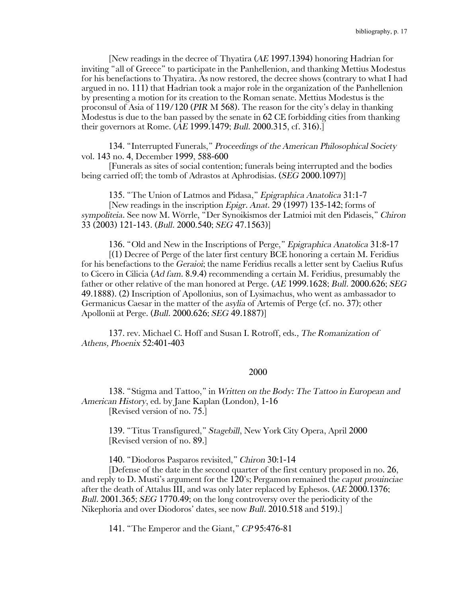[New readings in the decree of Thyatira (*AE* 1997.1394) honoring Hadrian for inviting "all of Greece" to participate in the Panhellenion, and thanking Mettius Modestus for his benefactions to Thyatira. As now restored, the decree shows (contrary to what I had argued in no. 111) that Hadrian took a major role in the organization of the Panhellenion by presenting a motion for its creation to the Roman senate. Mettius Modestus is the proconsul of Asia of 119/120 (*PIR* M 568). The reason for the city's delay in thanking Modestus is due to the ban passed by the senate in  $62$  CE forbidding cities from thanking their governors at Rome. (*AE* 1999.1479; *Bull.* 2000.315, cf. 316).]

134. "Interrupted Funerals," *Proceedings of the American Philosophical Society*  vol. 143 no. 4, December 1999, 588-600

[Funerals as sites of social contention; funerals being interrupted and the bodies being carried off; the tomb of Adrastos at Aphrodisias. (*SEG* 2000.1097)]

135. "The Union of Latmos and Pidasa," *Epigraphica Anatolica* 31:1-7

[New readings in the inscription *Epigr. Anat*. 29 (1997) 135-142; forms of *sympoliteia*. See now M. Wörrle, "Der Synoikismos der Latmioi mit den Pidaseis," *Chiron* 33 (2003) 121-143. (*Bull.* 2000.540; *SEG* 47.1563)]

136. "Old and New in the Inscriptions of Perge," *Epigraphica Anatolica* 31:8-17

[(1) Decree of Perge of the later first century BCE honoring a certain M. Feridius for his benefactions to the *Geraioi*; the name Feridius recalls a letter sent by Caelius Rufus to Cicero in Cilicia (*Ad fam*. 8.9.4) recommending a certain M. Feridius, presumably the father or other relative of the man honored at Perge. (*AE* 1999.1628; *Bull.* 2000.626; *SEG* 49.1888). (2) Inscription of Apollonius, son of Lysimachus, who went as ambassador to Germanicus Caesar in the matter of the *asylia* of Artemis of Perge (cf. no. 37); other Apollonii at Perge. (*Bull.* 2000.626; *SEG* 49.1887)]

137. rev. Michael C. Hoff and Susan I. Rotroff, eds*., The Romanization of Athens, Phoenix* 52:401-403

#### 2000

138. "Stigma and Tattoo," in *Written on the Body: The Tattoo in European and American History*, ed. by Jane Kaplan (London), 1-16 [Revised version of no. 75.]

139. "Titus Transfigured," *Stagebill*, New York City Opera, April 2000 [Revised version of no. 89.]

140. "Diodoros Pasparos revisited," *Chiron* 30:1-14

[Defense of the date in the second quarter of the first century proposed in no. 26, and reply to D. Musti's argument for the 120's; Pergamon remained the *caput prouinciae* after the death of Attalus III, and was only later replaced by Ephesos. (*AE* 2000.1376; *Bull.* 2001.365; *SEG* 1770.49; on the long controversy over the periodicity of the Nikephoria and over Diodoros' dates, see now *Bull.* 2010.518 and 519).]

141. "The Emperor and the Giant," *CP* 95:476-81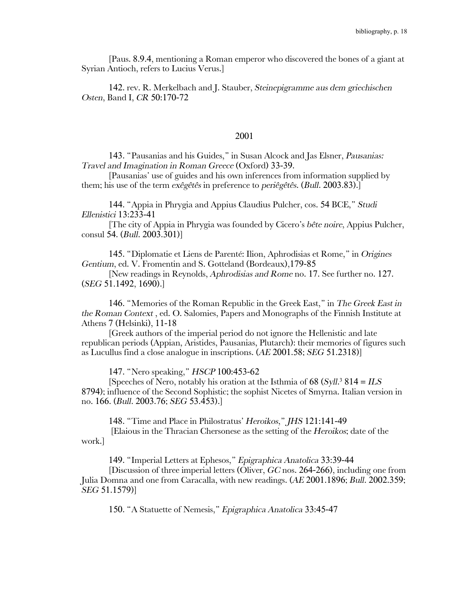[Paus. 8.9.4, mentioning a Roman emperor who discovered the bones of a giant at Syrian Antioch, refers to Lucius Verus.]

142. rev. R. Merkelbach and J. Stauber, *Steinepigramme aus dem griechischen Osten*, Band I, *CR* 50:170-72

## 2001

143. "Pausanias and his Guides," in Susan Alcock and Jas Elsner, *Pausanias: Travel and Imagination in Roman Greece* (Oxford) 33-39.

[Pausanias' use of guides and his own inferences from information supplied by them; his use of the term *exêgêtês* in preference to *periêgêtês*. (*Bull*. 2003.83).]

144. "Appia in Phrygia and Appius Claudius Pulcher, cos. 54 BCE," *Studi Ellenistici* 13:233-41

[The city of Appia in Phrygia was founded by Cicero's *bête noire*, Appius Pulcher, consul 54. (*Bull*. 2003.301)]

145. "Diplomatie et Liens de Parenté: Ilion, Aphrodisias et Rome," in *Origines Gentium*, ed. V. Fromentin and S. Gotteland (Bordeaux),179-85

[New readings in Reynolds, *Aphrodisias and Rome* no. 17. See further no. 127. (*SEG* 51.1492, 1690).]

146. "Memories of the Roman Republic in the Greek East," in *The Greek East in the Roman Context* , ed. O. Salomies, Papers and Monographs of the Finnish Institute at Athens 7 (Helsinki), 11-18

[Greek authors of the imperial period do not ignore the Hellenistic and late republican periods (Appian, Aristides, Pausanias, Plutarch): their memories of figures such as Lucullus find a close analogue in inscriptions. (*AE* 2001.58; *SEG* 51.2318)]

147. "Nero speaking," *HSCP* 100:453-62

[Speeches of Nero, notably his oration at the Isthmia of 68 (*Syll*. <sup>3</sup> 814 = *ILS* 8794); influence of the Second Sophistic; the sophist Nicetes of Smyrna. Italian version in no. 166. (*Bull*. 2003.76; *SEG* 53.453).]

148. "Time and Place in Philostratus' *Heroikos*," *JHS* 121:141-49 [Elaious in the Thracian Chersonese as the setting of the *Heroikos*; date of the

work.]

149. "Imperial Letters at Ephesos," *Epigraphica Anatolica* 33:39-44

[Discussion of three imperial letters (Oliver, *GC* nos. 264-266), including one from Julia Domna and one from Caracalla, with new readings. (*AE* 2001.1896; *Bull*. 2002.359; *SEG* 51.1579)]

150. "A Statuette of Nemesis," *Epigraphica Anatolica* 33:45-47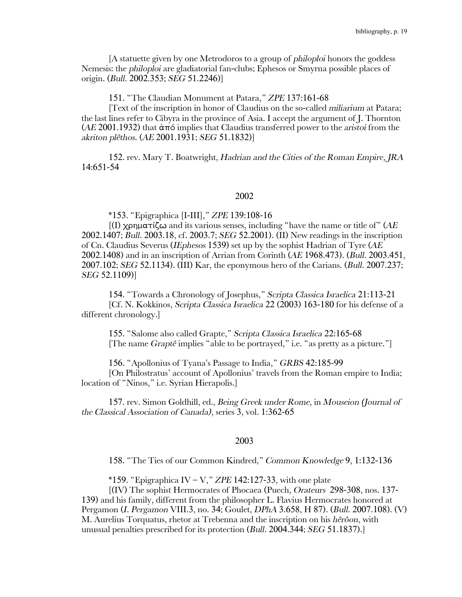[A statuette given by one Metrodoros to a group of *philoploi* honors the goddess Nemesis: the *philoploi* are gladiatorial fan-clubs; Ephesos or Smyrna possible places of origin. (*Bull*. 2002.353; *SEG* 51.2246)]

151. "The Claudian Monument at Patara," *ZPE* 137:161-68

[Text of the inscription in honor of Claudius on the so-called *miliarium* at Patara; the last lines refer to Cibyra in the province of Asia. I accept the argument of J. Thornton (*AE* 2001.1932) that ἀπό implies that Claudius transferred power to the *aristoi* from the *akriton plêthos*. (*AE* 2001.1931; *SEG* 51.1832)]

152. rev. Mary T. Boatwright, *Hadrian and the Cities of the Roman Empire, JRA* 14:651-54

#### 2002

\*153. "Epigraphica [I-III]," *ZPE* 139:108-16

[(I) χρηματίζω and its various senses, including "have the name or title of" (*AE* 2002.1407; *Bull*. 2003.18, cf. 2003.7; *SEG* 52.2001). (II) New readings in the inscription of Cn. Claudius Severus (*IEphesos* 1539) set up by the sophist Hadrian of Tyre (*AE* 2002.1408) and in an inscription of Arrian from Corinth (*AE* 1968.473). (*Bull*. 2003.451, 2007.102; *SEG* 52.1134). (III) Kar, the eponymous hero of the Carians. (*Bull*. 2007.237; *SEG* 52.1109)]

154. "Towards a Chronology of Josephus," *Scripta Classica Israelica* 21:113-21 [Cf. N. Kokkinos, *Scripta Classica Israelica* 22 (2003) 163-180 for his defense of a different chronology.]

155. "Salome also called Grapte," *Scripta Classica Israelica* 22:165-68 [The name *Graptê* implies "able to be portrayed," i.e. "as pretty as a picture."]

156. "Apollonius of Tyana's Passage to India," *GRBS* 42:185-99

[On Philostratus' account of Apollonius' travels from the Roman empire to India; location of "Ninos," i.e. Syrian Hierapolis.]

157. rev. Simon Goldhill, ed., *Being Greek under Rome,* in *Mouseion (Journal of the Classical Association of Canada)*, series 3, vol. 1:362-65

#### 2003

158. "The Ties of our Common Kindred," *Common Knowledge* 9, 1:132-136

\*159. "Epigraphica IV – V," *ZPE* 142:127-33, with one plate

[(IV) The sophist Hermocrates of Phocaea (Puech, *Orateurs* 298-308, nos. 137- 139) and his family, different from the philosopher L. Flavius Hermocrates honored at Pergamon (*I. Pergamon* VIII.3, no. 34; Goulet, *DPhA* 3.658, H 87). (*Bull*. 2007.108). (V) M. Aurelius Torquatus, rhetor at Trebenna and the inscription on his *hêrôon*, with unusual penalties prescribed for its protection (*Bull*. 2004.344; *SEG* 51.1837).]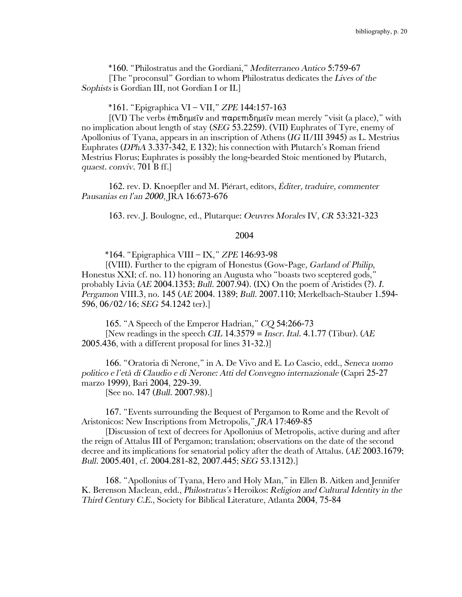\*160. "Philostratus and the Gordiani," *Mediterraneo Antico* 5:759-67 [The "proconsul" Gordian to whom Philostratus dedicates the *Lives of the Sophists* is Gordian III, not Gordian I or II.]

\*161. "Epigraphica VI – VII," *ZPE* 144:157-163

[(VI) The verbs ἐπιδημεῖν and παρεπιδημεῖν mean merely "visit (a place)," with no implication about length of stay (*SEG* 53.2259). (VII) Euphrates of Tyre, enemy of Apollonius of Tyana, appears in an inscription of Athens (*IG* II/III 3945) as L. Mestrius Euphrates (*DPhA* 3.337-342, E 132); his connection with Plutarch's Roman friend Mestrius Florus; Euphrates is possibly the long-bearded Stoic mentioned by Plutarch, *quaest. conviv*. 701 B ff.]

162. rev. D. Knoepfler and M. Piérart, editors, *Éditer, traduire, commenter Pausanias en l'an 2000*, JRA 16:673-676

163. rev. J. Boulogne, ed., Plutarque: *Oeuvres Morales* IV, *CR* 53:321-323

### 2004

\*164. "Epigraphica VIII – IX," *ZPE* 146:93-98

[(VIII). Further to the epigram of Honestus (Gow-Page, *Garland of Philip*, Honestus XXI; cf. no. 11) honoring an Augusta who "boasts two sceptered gods," probably Livia (*AE* 2004.1353; *Bull*. 2007.94). (IX) On the poem of Aristides (?). *I. Pergamon* VIII.3, no. 145 (*AE* 2004. 1389; *Bull*. 2007.110; Merkelbach-Stauber 1.594- 596, 06/02/16; *SEG* 54.1242 ter).]

165. "A Speech of the Emperor Hadrian," *CQ* 54:266-73 [New readings in the speech *CIL* 14.3579 = *Inscr. Ital.* 4.1.77 (Tibur). (*AE* 2005.436, with a different proposal for lines 31-32.)]

166. "Oratoria di Nerone," in A. De Vivo and E. Lo Cascio, edd., *Seneca uomo politico e l'etå di Claudio e di Nerone: Atti del Convegno internazionale* (Capri 25-27 marzo 1999), Bari 2004, 229-39. [See no. 147 (*Bull*. 2007.98).]

167. "Events surrounding the Bequest of Pergamon to Rome and the Revolt of Aristonicos: New Inscriptions from Metropolis," *JRA* 17:469-85

[Discussion of text of decrees for Apollonius of Metropolis, active during and after the reign of Attalus III of Pergamon; translation; observations on the date of the second decree and its implications for senatorial policy after the death of Attalus. (*AE* 2003.1679; *Bull.* 2005.401, cf. 2004.281-82, 2007.445; *SEG* 53.1312).]

168. "Apollonius of Tyana, Hero and Holy Man," in Ellen B. Aitken and Jennifer K. Berenson Maclean, edd., *Philostratus's* Heroikos: *Religion and Cultural Identity in the Third Century C.E.*, Society for Biblical Literature, Atlanta 2004, 75-84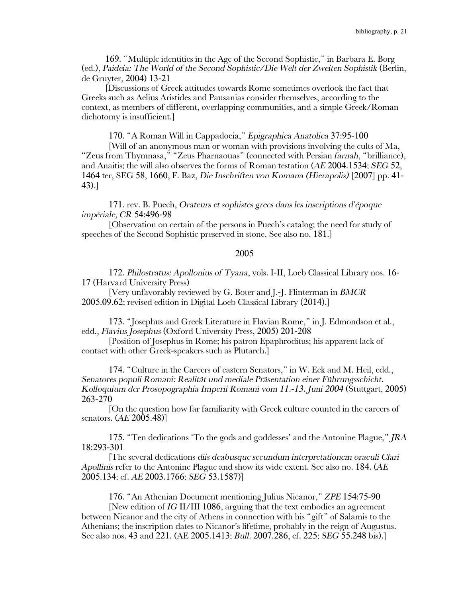169. "Multiple identities in the Age of the Second Sophistic," in Barbara E. Borg (ed.), Paideia: The World of the Second Sophistic/Die Welt der Zweiten Sophistik (Berlin, de Gruyter, 2004) 13-21

[Discussions of Greek attitudes towards Rome sometimes overlook the fact that Greeks such as Aelius Aristides and Pausanias consider themselves, according to the context, as members of different, overlapping communities, and a simple Greek/Roman dichotomy is insufficient.]

170. "A Roman Will in Cappadocia," *Epigraphica Anatolica* 37:95-100

[Will of an anonymous man or woman with provisions involving the cults of Ma, "Zeus from Thymnasa," "Zeus Pharnaouas" (connected with Persian *farnah*, "brilliance), and Anaitis; the will also observes the forms of Roman testation (*AE* 2004.1534; *SEG* 52, 1464 ter, SEG 58, 1660, F. Baz, *Die Inschriften von Komana (Hierapolis)* [2007] pp. 41- 43).]

171. rev. B. Puech, *Orateurs et sophistes grecs dans les inscriptions d'époque impériale, CR* 54:496-98

[Observation on certain of the persons in Puech's catalog; the need for study of speeches of the Second Sophistic preserved in stone. See also no. 181.]

## 2005

172. *Philostratus: Apollonius of Tyana*, vols. I-II, Loeb Classical Library nos. 16- 17 (Harvard University Press)

[Very unfavorably reviewed by G. Boter and J.-J. Flinterman in *BMCR* 2005.09.62; revised edition in Digital Loeb Classical Library (2014).]

173. "Josephus and Greek Literature in Flavian Rome," in J. Edmondson et al., edd., *Flavius Josephus* (Oxford University Press, 2005) 201-208

[Position of Josephus in Rome; his patron Epaphroditus; his apparent lack of contact with other Greek-speakers such as Plutarch.]

174. "Culture in the Careers of eastern Senators," in W. Eck and M. Heil, edd., *Senatores populi Romani: Realität und mediale Präsentation einer Führungsschicht. Kolloquium der Prosopographia Imperii Romani vom 11.-13. Juni 2004* (Stuttgart, 2005) 263-270

[On the question how far familiarity with Greek culture counted in the careers of senators. (*AE* 2005.48)]

175. "Ten dedications 'To the gods and goddesses' and the Antonine Plague," *JRA* 18:293-301

[The several dedications *diis deabusque secundum interpretationem oraculi Clari Apollinis* refer to the Antonine Plague and show its wide extent. See also no. 184. (*AE* 2005.134; cf. *AE* 2003.1766; *SEG* 53.1587)]

176. "An Athenian Document mentioning Julius Nicanor," *ZPE* 154:75-90

[New edition of *IG* II/III 1086, arguing that the text embodies an agreement between Nicanor and the city of Athens in connection with his "gift" of Salamis to the Athenians; the inscription dates to Nicanor's lifetime, probably in the reign of Augustus. See also nos. 43 and 221. (AE 2005.1413; *Bull.* 2007.286, cf. 225; *SEG* 55.248 bis).]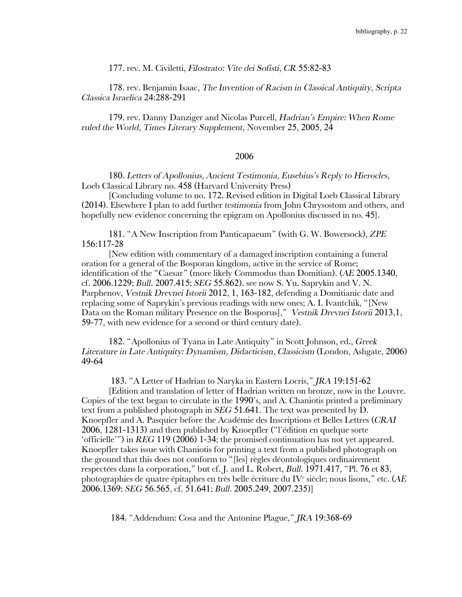177. rev. M. Civiletti, *Filostrato: Vite dei Sofisti*, *CR* 55:82-83

178. rev. Benjamin Isaac, *The Invention of Racism in Classical Antiquity*, *Scripta Classica Israelica* 24:288-291

179. rev. Danny Danziger and Nicolas Purcell, *Hadrian's Empire: When Rome ruled the World, Times Literary Supplement*, November 25, 2005, 24

## 2006

180. *Letters of Apollonius, Ancient Testimonia, Eusebius's Reply to Hierocles*, Loeb Classical Library no. 458 (Harvard University Press)

[Concluding volume to no. 172. Revised edition in Digital Loeb Classical Library (2014). Elsewhere I plan to add further *testimonia* from John Chrysostom and others, and hopefully new evidence concerning the epigram on Apollonius discussed in no. 45].

181. "A New Inscription from Panticapaeum" (with G. W. Bowersock), *ZPE*  156:117-28

[New edition with commentary of a damaged inscription containing a funeral oration for a general of the Bosporan kingdom, active in the service of Rome; identification of the "Caesar" (more likely Commodus than Domitian). (*AE* 2005.1340, cf. 2006.1229; *Bull.* 2007.415; *SEG* 55.862). see now S. Yu. Saprykin and V. N. Parphenov, *Vestnik Drevnei Istorii* 2012, 1, 163-182, defending a Domitianic date and replacing some of Saprykin's previous readings with new ones; A. I. Ivantchik, "[New Data on the Roman military Presence on the Bosporus]," *Vestnik Drevnei Istorii* 2013,1, 59-77, with new evidence for a second or third century date).

182. "Apollonius of Tyana in Late Antiquity" in Scott Johnson, ed., *Greek Literature in Late Antiquity: Dynamism, Didacticism, Classicism* (London, Ashgate, 2006) 49-64

183. "A Letter of Hadrian to Naryka in Eastern Locris," *JRA* 19:151-62

[Edition and translation of letter of Hadrian written on bronze, now in the Louvre. Copies of the text began to circulate in the 1990's, and A. Chaniotis printed a preliminary text from a published photograph in *SEG* 51.641. The text was presented by  $\overrightarrow{D}$ . Knoepfler and A. Pasquier before the Académie des Inscriptions et Belles Lettres (*CRAI* 2006, 1281-1313) and then published by Knoepfler ("l'édition en quelque sorte 'officielle'") in *REG* 119 (2006) 1-34; the promised continuation has not yet appeared. Knoepfler takes issue with Chaniotis for printing a text from a published photograph on the ground that this does not conform to "[les] règles déontologiques ordinairement respectées dans la corporation," but cf. J. and L. Robert, *Bull.* 1971.417, "Pl. 76 et 83, photographies de quatre épitaphes en très belle écriture du IVe siècle; nous lisons," etc. (*AE* 2006.1369; *SEG* 56.565, cf. 51.641; *Bull.* 2005.249, 2007.235)]

184. "Addendum: Cosa and the Antonine Plague," *JRA* 19:368-69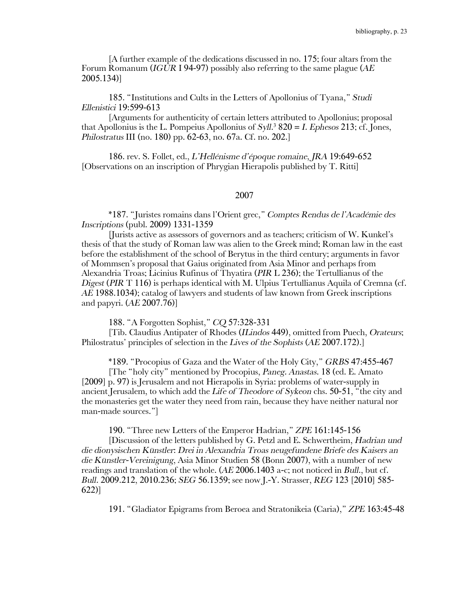[A further example of the dedications discussed in no. 175; four altars from the Forum Romanum (*IGUR* I 94-97) possibly also referring to the same plague (*AE* 2005.134)]

185. "Institutions and Cults in the Letters of Apollonius of Tyana," *Studi Ellenistici* 19:599-613

[Arguments for authenticity of certain letters attributed to Apollonius; proposal that Apollonius is the L. Pompeius Apollonius of *Syll*. <sup>3</sup> 820 = *I. Ephesos* 213; cf. Jones, *Philostratus* III (no. 180) pp. 62-63, no. 67a. Cf. no. 202.]

186. rev. S. Follet, ed., *L'Hellénisme d'époque romaine*, *JRA* 19:649-652 [Observations on an inscription of Phrygian Hierapolis published by T. Ritti]

#### 2007

\*187. "Juristes romains dans l'Orient grec," *Comptes Rendus de l'Académie des Inscriptions* (publ. 2009) 1331-1359

[Jurists active as assessors of governors and as teachers; criticism of W. Kunkel's thesis of that the study of Roman law was alien to the Greek mind; Roman law in the east before the establishment of the school of Berytus in the third century; arguments in favor of Mommsen's proposal that Gaius originated from Asia Minor and perhaps from Alexandria Troas; Licinius Rufinus of Thyatira (*PIR* L 236); the Tertullianus of the *Digest* (*PIR* T 116) is perhaps identical with M. Ulpius Tertullianus Aquila of Cremna (cf. *AE* 1988.1034); catalog of lawyers and students of law known from Greek inscriptions and papyri. (*AE* 2007.76)]

188. "A Forgotten Sophist," *CQ* 57:328-331

[Tib. Claudius Antipater of Rhodes (*ILindos* 449), omitted from Puech, *Orateurs*; Philostratus' principles of selection in the *Lives of the Sophists* (*AE* 2007.172).]

\*189. "Procopius of Gaza and the Water of the Holy City," *GRBS* 47:455-467

[The "holy city" mentioned by Procopius, *Paneg. Anastas*. 18 (ed. E. Amato [2009] p. 97) is Jerusalem and not Hierapolis in Syria: problems of water-supply in ancient Jerusalem, to which add the *Life of Theodore of Sykeon* chs. 50-51, "the city and the monasteries get the water they need from rain, because they have neither natural nor man-made sources."]

190. "Three new Letters of the Emperor Hadrian," *ZPE* 161:145-156

[Discussion of the letters published by G. Petzl and E. Schwertheim, *Hadrian und die dionysischen Künstler*: *Drei in Alexandria Troas neugefundene Briefe des Kaisers an die Künstler-Vereinigung*, Asia Minor Studien 58 (Bonn 2007), with a number of new readings and translation of the whole. (*AE* 2006.1403 a-c; not noticed in *Bull*., but cf. *Bull.* 2009.212, 2010.236; *SEG* 56.1359; see now J.-Y. Strasser, *REG* 123 [2010] 585- 622)]

191. "Gladiator Epigrams from Beroea and Stratonikeia (Caria)," *ZPE* 163:45-48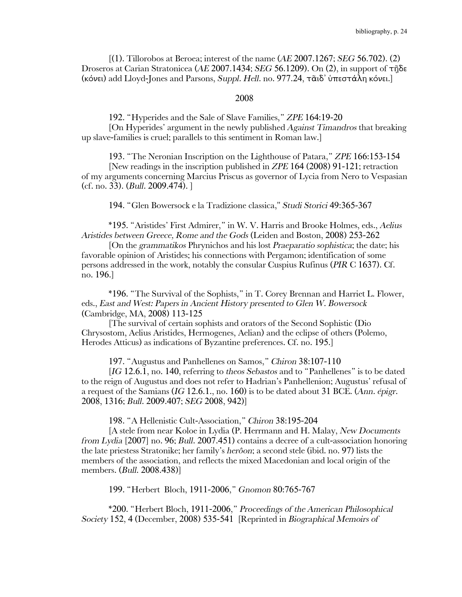[(1). Tillorobos at Beroea; interest of the name (*AE* 2007.1267; *SEG* 56.702). (2) Droseros at Carian Stratonicea (*AE* 2007.1434; *SEG* 56.1209). On (2), in support of τῇδε (κόνει) add Lloyd-Jones and Parsons, *Suppl. Hell*. no. 977.24, τᾶιδ᾿ ὑπεστάλη κόνει.]

#### 2008

192. "Hyperides and the Sale of Slave Families," *ZPE* 164:19-20

[On Hyperides' argument in the newly published *Against Timandros* that breaking up slave-families is cruel; parallels to this sentiment in Roman law.]

193. "The Neronian Inscription on the Lighthouse of Patara," *ZPE* 166:153-154 [New readings in the inscription published in *ZPE* 164 (2008) 91-121; retraction of my arguments concerning Marcius Priscus as governor of Lycia from Nero to Vespasian (cf. no. 33). (*Bull.* 2009.474). ]

194. "Glen Bowersock e la Tradizione classica," *Studi Storici* 49:365-367

\*195. "Aristides' First Admirer," in W. V. Harris and Brooke Holmes, eds., *Aelius Aristides between Greece, Rome and the Gods* (Leiden and Boston, 2008) 253-262

[On the *grammatikos* Phrynichos and his lost *Praeparatio sophistica*; the date; his favorable opinion of Aristides; his connections with Pergamon; identification of some persons addressed in the work, notably the consular Cuspius Rufinus (*PIR* C 1637). Cf. no. 196.]

\*196. "The Survival of the Sophists," in T. Corey Brennan and Harriet L. Flower, eds., *East and West: Papers in Ancient History presented to Glen W. Bowersock* (Cambridge, MA, 2008) 113-125

[The survival of certain sophists and orators of the Second Sophistic (Dio Chrysostom, Aelius Aristides, Hermogenes, Aelian) and the eclipse of others (Polemo, Herodes Atticus) as indications of Byzantine preferences. Cf. no. 195.]

197. "Augustus and Panhellenes on Samos," *Chiron* 38:107-110

[*IG* 12.6.1, no. 140, referring to *theos Sebastos* and to "Panhellenes" is to be dated to the reign of Augustus and does not refer to Hadrian's Panhellenion; Augustus' refusal of a request of the Samians (*IG* 12.6.1., no. 160) is to be dated about 31 BCE. (*Ann. épigr*. 2008, 1316; *Bull*. 2009.407; *SEG* 2008, 942)]

198. "A Hellenistic Cult-Association," *Chiron* 38:195-204

[A stele from near Koloe in Lydia (P. Herrmann and H. Malay, *New Documents from Lydia* [2007] no. 96; *Bull*. 2007.451) contains a decree of a cult-association honoring the late priestess Stratonike; her family's *herôon*; a second stele (ibid. no. 97) lists the members of the association, and reflects the mixed Macedonian and local origin of the members. (*Bull*. 2008.438)]

199. "Herbert Bloch, 1911-2006," *Gnomon* 80:765-767

\*200. "Herbert Bloch, 1911-2006," *Proceedings of the American Philosophical Society* 152, 4 (December, 2008) 535-541 [Reprinted in *Biographical Memoirs of*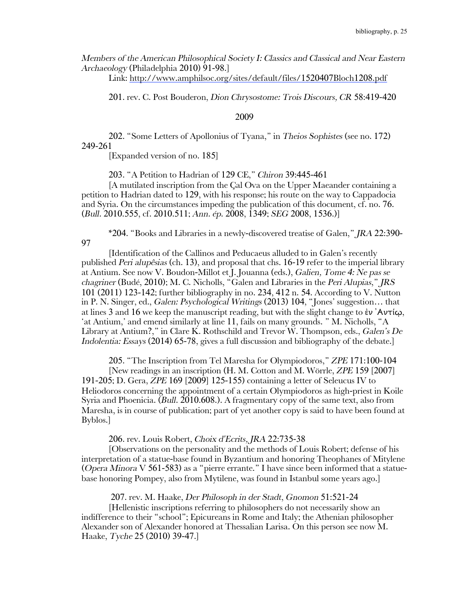*Members of the American Philosophical Society I: Classics and Classical and Near Eastern Archaeology* (Philadelphia 2010) 91-98.]

Link: http://www.amphilsoc.org/sites/default/files/1520407Bloch1208.pdf

201. rev. C. Post Bouderon, *Dion Chrysostome: Trois Discours, CR* 58:419-420

#### 2009

202. "Some Letters of Apollonius of Tyana," in *Theios Sophistes* (see no. 172) 249-261

[Expanded version of no. 185]

203. "A Petition to Hadrian of 129 CE," *Chiron* 39:445-461

[A mutilated inscription from the Çal Ova on the Upper Maeander containing a petition to Hadrian dated to 129, with his response; his route on the way to Cappadocia and Syria. On the circumstances impeding the publication of this document, cf. no. 76. (*Bull.* 2010.555, cf. 2010.511; *Ann. ép*. 2008, 1349; *SEG* 2008, 1536.)]

\*204. "Books and Libraries in a newly-discovered treatise of Galen," *JRA* 22:390- 97

[Identification of the Callinos and Peducaeus alluded to in Galen's recently published *Peri alupêsias* (ch. 13), and proposal that chs. 16-19 refer to the imperial library at Antium. See now V. Boudon-Millot et J. Jouanna (eds.), *Galien, Tome 4: Ne pas se chagriner* (Budé, 2010); M. C. Nicholls, "Galen and Libraries in the *Peri Alupias*," *JRS* 101 (2011) 123-142; further bibliography in no. 234, 412 n. 54. According to V. Nutton in P. N. Singer, ed., *Galen: Psychological Writings* (2013) 104, "Jones' suggestion… that at lines 3 and 16 we keep the manuscript reading, but with the slight change to ἐν 'Αντί $\omega$ , 'at Antium,' and emend similarly at line 11, fails on many grounds. " M. Nicholls, "A Library at Antium?," in Clare K. Rothschild and Trevor W. Thompson, eds., *Galen's De Indolentia: Essays* (2014) 65-78, gives a full discussion and bibliography of the debate.]

205. "The Inscription from Tel Maresha for Olympiodoros," *ZPE* 171:100-104

[New readings in an inscription (H. M. Cotton and M. Wörrle, *ZPE* 159 [2007] 191-205; D. Gera, *ZPE* 169 [2009] 125-155) containing a letter of Seleucus IV to Heliodoros concerning the appointment of a certain Olympiodoros as high-priest in Koile Syria and Phoenicia. (*Bull*. 2010.608.). A fragmentary copy of the same text, also from Maresha, is in course of publication; part of yet another copy is said to have been found at Byblos.]

206. rev. Louis Robert, *Choix d'Ecrits, JRA* 22:735-38

[Observations on the personality and the methods of Louis Robert; defense of his interpretation of a statue-base found in Byzantium and honoring Theophanes of Mitylene (*Opera Minora* V 561-583) as a "pierre errante." I have since been informed that a statuebase honoring Pompey, also from Mytilene, was found in Istanbul some years ago.]

207. rev. M. Haake, *Der Philosoph in der Stadt*, *Gnomon* 51:521-24

[Hellenistic inscriptions referring to philosophers do not necessarily show an indifference to their "school"; Epicureans in Rome and Italy; the Athenian philosopher Alexander son of Alexander honored at Thessalian Larisa. On this person see now M. Haake, *Tyche* 25 (2010) 39-47.]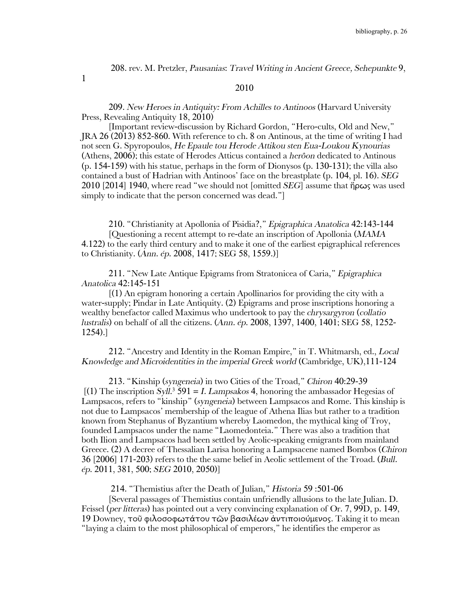208. rev. M. Pretzler, *Pausanias*: *Travel Writing in Ancient Greece, Sehepunkte* 9,

1

## 209. *New Heroes in Antiquity: From Achilles to Antinoos* (Harvard University Press, Revealing Antiquity 18, 2010)

2010

[Important review-discussion by Richard Gordon, "Hero-cults, Old and New," JRA 26 (2013) 852-860. With reference to ch. 8 on Antinous, at the time of writing I had not seen G. Spyropoulos, *He Epaule tou Herode Attikou sten Eua-Loukou Kynourias*  (Athens, 2006); this estate of Herodes Atticus contained a *herôon* dedicated to Antinous (p. 154-159) with his statue, perhaps in the form of Dionysos (p. 130-131); the villa also contained a bust of Hadrian with Antinoos' face on the breastplate (p. 104, pl. 16). *SEG* 2010 [2014] 1940, where read "we should not [omitted *SEG*] assume that ἥρως was used simply to indicate that the person concerned was dead."

210. "Christianity at Apollonia of Pisidia?," *Epigraphica Anatolica* 42:143-144 [Questioning a recent attempt to re-date an inscription of Apollonia (*MAMA* 4.122) to the early third century and to make it one of the earliest epigraphical references to Christianity. (*Ann*. *ép*. 2008, 1417; SEG 58, 1559.)]

211. "New Late Antique Epigrams from Stratonicea of Caria," *Epigraphica Anatolica* 42:145-151

[(1) An epigram honoring a certain Apollinarios for providing the city with a water-supply; Pindar in Late Antiquity. (2) Epigrams and prose inscriptions honoring a wealthy benefactor called Maximus who undertook to pay the *chrysargyron* (*collatio lustralis*) on behalf of all the citizens. (*Ann. ép*. 2008, 1397, 1400, 1401; SEG 58, 1252- 1254).]

212. "Ancestry and Identity in the Roman Empire," in T. Whitmarsh, ed., *Local Knowledge and Microidentities in the imperial Greek world* (Cambridge, UK),111-124

213. "Kinship (*syngeneia*) in two Cities of the Troad," *Chiron* 40:29-39 [(1) The inscription *Syll*. <sup>3</sup> 591 = *I. Lampsakos* 4, honoring the ambassador Hegesias of Lampsacos, refers to "kinship" (*syngeneia*) between Lampsacos and Rome. This kinship is not due to Lampsacos' membership of the league of Athena Ilias but rather to a tradition known from Stephanus of Byzantium whereby Laomedon, the mythical king of Troy, founded Lampsacos under the name "Laomedonteia." There was also a tradition that both Ilion and Lampsacos had been settled by Aeolic-speaking emigrants from mainland Greece. (2) A decree of Thessalian Larisa honoring a Lampsacene named Bombos (*Chiron* 36 [2006] 171-203) refers to the the same belief in Aeolic settlement of the Troad. (*Bull. ép*. 2011, 381, 500; *SEG* 2010, 2050)]

214. "Themistius after the Death of Julian," *Historia* 59 :501-06

[Several passages of Themistius contain unfriendly allusions to the late Julian. D. Feissel (*per litteras*) has pointed out a very convincing explanation of Or. 7, 99D, p. 149, 19 Downey, τοῦ φιλοσοφωτάτου τῶν βασιλέων ἀντιποιούμενος. Taking it to mean "laying a claim to the most philosophical of emperors," he identifies the emperor as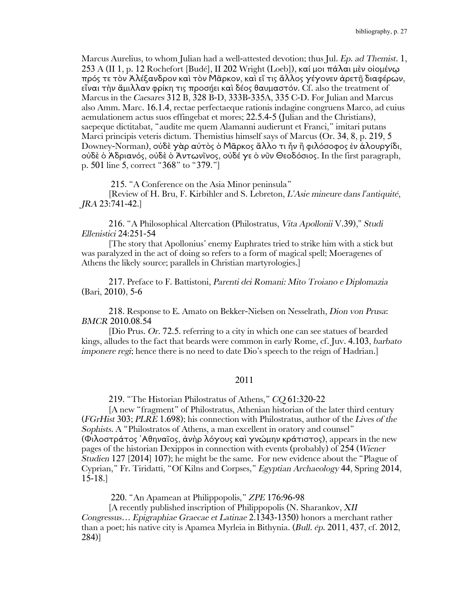Marcus Aurelius, to whom Julian had a well-attested devotion; thus Jul. *Ep. ad Themist*. 1, 253 A (II 1, p. 12 Rochefort [Budé], II 202 Wright (Loeb]), καί μοι πάλαι μὲν οἰομέν $\omega$ πρός τε τὸν Ἀλέξανδρον καὶ τὸν Μᾶρκον, καὶ εἴ τις ἄλλος γέγονεν ἀρετῇ διαφέρων, εἶναι τὴν ἅμιλλαν φρίκη τις προσήει καὶ δέος θαυμαστόν. Cf. also the treatment of Marcus in the *Caesares* 312 B, 328 B-D, 333B-335A, 335 C-D. For Julian and Marcus also Amm. Marc. 16.1.4, rectae perfectaeque rationis indagine congruens Marco, ad cuius aemulationem actus suos effingebat et mores; 22.5.4-5 (Julian and the Christians), saepeque dictitabat, "audite me quem Alamanni audierunt et Franci," imitari putans Marci principis veteris dictum. Themistius himself says of Marcus (Or. 34, 8, p. 219, 5 Downey-Norman), οὐδὲ γὰρ αὐτὸς ὁ Μᾶρκος ἄλλο τι ἦν ἢ φιλόσοφος ἐν ἁλουργίδι, οὐδὲ ὁ Ἀδριανός, οὐδὲ ὁ Ἀντωνῖνος, οὐδέ γε ὁ νῦν Θεοδόσιος. In the first paragraph, p. 501 line 5, correct "368" to "379."]

215. "A Conference on the Asia Minor peninsula"

[Review of H. Bru, F. Kirbihler and S. Lebreton, *L'Asie mineure dans l'antiquité*, *JRA* 23:741-42.]

216. "A Philosophical Altercation (Philostratus, *Vita Apollonii* V.39)," *Studi Ellenistici* 24:251-54

[The story that Apollonius' enemy Euphrates tried to strike him with a stick but was paralyzed in the act of doing so refers to a form of magical spell; Moeragenes of Athens the likely source; parallels in Christian martyrologies.]

217. Preface to F. Battistoni, *Parenti dei Romani: Mito Troiano e Diplomazia* (Bari, 2010), 5-6

218. Response to E. Amato on Bekker-Nielsen on Nesselrath, *Dion von Prusa*: *BMCR* 2010.08.54

[Dio Prus. *Or.* 72.5. referring to a city in which one can see statues of bearded kings, alludes to the fact that beards were common in early Rome, cf. Juv. 4.103, *barbato imponere regi*; hence there is no need to date Dio's speech to the reign of Hadrian.

## 2011

219. "The Historian Philostratus of Athens," *CQ* 61:320-22

[A new "fragment" of Philostratus, Athenian historian of the later third century (*FGrHist* 303; *PLRE* 1.698); his connection with Philostratus, author of the *Lives of the Sophists*. A "Philostratos of Athens, a man excellent in oratory and counsel" (Φιλοστράτος ᾽Αθηναῖος, ἀνὴρ λόγους καὶ γνώμην κράτιστος), appears in the new pages of the historian Dexippos in connection with events (probably) of 254 (*Wiener Studien* 127 [2014] 107); he might be the same. For new evidence about the "Plague of Cyprian," Fr. Tiridatti, "Of Kilns and Corpses," *Egyptian Archaeology* 44, Spring 2014, 15-18.]

220. "An Apamean at Philippopolis," *ZPE* 176:96-98

[A recently published inscription of Philippopolis (N. Sharankov, *XII Congressus… Epigraphiae Graecae et Latinae* 2.1343-1350) honors a merchant rather than a poet; his native city is Apamea Myrleia in Bithynia. (*Bull. ép*. 2011, 437, cf. 2012, 284)]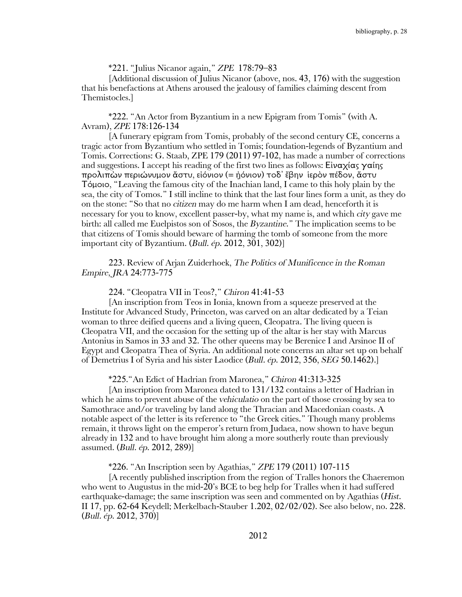\*221. "Julius Nicanor again," *ZPE* 178:79–83

[Additional discussion of Julius Nicanor (above, nos. 43, 176) with the suggestion that his benefactions at Athens aroused the jealousy of families claiming descent from Themistocles.]

\*222. "An Actor from Byzantium in a new Epigram from Tomis" (with A. Avram), *ZPE* 178:126-134

[A funerary epigram from Tomis, probably of the second century CE, concerns a tragic actor from Byzantium who settled in Tomis; foundation-legends of Byzantium and Tomis. Corrections: G. Staab, ZPE 179 (2011) 97-102, has made a number of corrections and suggestions. I accept his reading of the first two lines as follows: Είναχίας γαίης προλιπὼν περιώνυμον ἄστυ, εἰόνιον (= ᾐόνιον) τοδ᾿ ἔβην ἱερὸν πέδον, ἄστυ Τόμοιο, "Leaving the famous city of the Inachian land, I came to this holy plain by the sea, the city of Tomos." I still incline to think that the last four lines form a unit, as they do on the stone: "So that no *citizen* may do me harm when I am dead, henceforth it is necessary for you to know, excellent passer-by, what my name is, and which *city* gave me birth: all called me Euelpistos son of Sosos, the *Byzantine*." The implication seems to be that citizens of Tomis should beware of harming the tomb of someone from the more important city of Byzantium. (*Bull. ép*. 2012, 301, 302)]

223. Review of Arjan Zuiderhoek, *The Politics of Munificence in the Roman Empire*, *JRA* 24:773-775

#### 224. "Cleopatra VII in Teos?," *Chiron* 41:41-53

[An inscription from Teos in Ionia, known from a squeeze preserved at the Institute for Advanced Study, Princeton, was carved on an altar dedicated by a Teian woman to three deified queens and a living queen, Cleopatra. The living queen is Cleopatra VII, and the occasion for the setting up of the altar is her stay with Marcus Antonius in Samos in 33 and 32. The other queens may be Berenice I and Arsinoe II of Egypt and Cleopatra Thea of Syria. An additional note concerns an altar set up on behalf of Demetrius I of Syria and his sister Laodice (*Bull. ép*. 2012, 356, *SEG* 50.1462).]

\*225."An Edict of Hadrian from Maronea," *Chiron* 41:313-325

[An inscription from Maronea dated to 131/132 contains a letter of Hadrian in which he aims to prevent abuse of the *vehiculatio* on the part of those crossing by sea to Samothrace and/or traveling by land along the Thracian and Macedonian coasts. A notable aspect of the letter is its reference to "the Greek cities." Though many problems remain, it throws light on the emperor's return from Judaea, now shown to have begun already in 132 and to have brought him along a more southerly route than previously assumed. (*Bull. ép*. 2012, 289)]

\*226. "An Inscription seen by Agathias," *ZPE* 179 (2011) 107-115

[A recently published inscription from the region of Tralles honors the Chaeremon who went to Augustus in the mid-20's BCE to beg help for Tralles when it had suffered earthquake-damage; the same inscription was seen and commented on by Agathias (*Hist*. II 17, pp. 62-64 Keydell; Merkelbach-Stauber 1.202, 02/02/02). See also below, no. 228. (*Bull. ép*. 2012, 370)]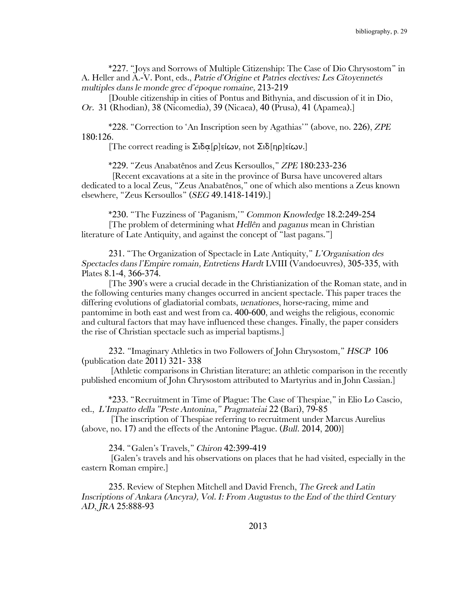\*227. "Joys and Sorrows of Multiple Citizenship: The Case of Dio Chrysostom" in A. Heller and A.-V. Pont, eds., *Patrie d'Origine et Patries electives: Les Citoyennetés multiples dans le monde grec d'époque romaine,* 213-219

[Double citizenship in cities of Pontus and Bithynia, and discussion of it in Dio, *Or.* 31 (Rhodian), 38 (Nicomedia), 39 (Nicaea), 40 (Prusa), 41 (Apamea).]

\*228. "Correction to 'An Inscription seen by Agathias'" (above, no. 226), *ZPE* 180:126.

[The correct reading is  $\Sigma$ ιδα[ρ]είων, not  $\Sigma$ ιδ[ηρ]είων.]

\*229. "Zeus Anabatênos and Zeus Kersoullos," *ZPE* 180:233-236

[Recent excavations at a site in the province of Bursa have uncovered altars dedicated to a local Zeus, "Zeus Anabatênos," one of which also mentions a Zeus known elsewhere, "Zeus Kersoullos" (*SEG* 49.1418-1419).]

\*230. "The Fuzziness of 'Paganism,'" *Common Knowledge* 18.2:249-254 [The problem of determining what *Hellên* and *paganus* mean in Christian literature of Late Antiquity, and against the concept of "last pagans."]

231. "The Organization of Spectacle in Late Antiquity," *L'Organisation des Spectacles dans l'Empire romain, Entretiens Hardt* LVIII (Vandoeuvres), 305-335, with Plates 8.1-4, 366-374.

[The 390's were a crucial decade in the Christianization of the Roman state, and in the following centuries many changes occurred in ancient spectacle. This paper traces the differing evolutions of gladiatorial combats, *uenationes*, horse-racing, mime and pantomime in both east and west from ca. 400-600, and weighs the religious, economic and cultural factors that may have influenced these changes. Finally, the paper considers the rise of Christian spectacle such as imperial baptisms.]

232. *"*Imaginary Athletics in two Followers of John Chrysostom," *HSCP* 106 (publication date 2011) 321- 338

[Athletic comparisons in Christian literature; an athletic comparison in the recently published encomium of John Chrysostom attributed to Martyrius and in John Cassian.]

\*233. "Recruitment in Time of Plague: The Case of Thespiae," in Elio Lo Cascio, ed., *L'Impatto della "Peste Antonina," Pragmateiai* 22 (Bari), 79-85

[The inscription of Thespiae referring to recruitment under Marcus Aurelius (above, no. 17) and the effects of the Antonine Plague. (*Bull*. 2014, 200)]

234. "Galen's Travels," *Chiron* 42:399-419

[Galen's travels and his observations on places that he had visited, especially in the eastern Roman empire.]

235. Review of Stephen Mitchell and David French, *The Greek and Latin Inscriptions of Ankara (Ancyra), Vol. I: From Augustus to the End of the third Century AD*, *JRA* 25:888-93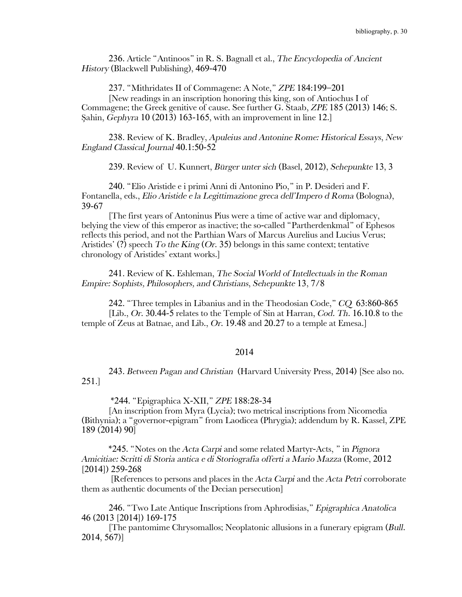236. Article "Antinoos" in R. S. Bagnall et al., *The Encyclopedia of Ancient History* (Blackwell Publishing), 469-470

237. "Mithridates II of Commagene: A Note," *ZPE* 184:199–201

[New readings in an inscription honoring this king, son of Antiochus I of Commagene; the Greek genitive of cause. See further G. Staab, *ZPE* 185 (2013) 146; S. Şahin, *Gephyra* 10 (2013) 163-165, with an improvement in line 12.]

238. Review of K. Bradley, *Apuleius and Antonine Rome: Historical Essays*, *New England Classical Journal* 40.1:50-52

239. Review of U. Kunnert, *Bürger unter sich* (Basel, 2012), *Sehepunkte* 13, 3

240. "Elio Aristide e i primi Anni di Antonino Pio," in P. Desideri and F. Fontanella, eds., *Elio Aristide e la Legittimazione greca dell'Impero d Roma* (Bologna), 39-67

[The first years of Antoninus Pius were a time of active war and diplomacy, belying the view of this emperor as inactive; the so-called "Partherdenkmal" of Ephesos reflects this period, and not the Parthian Wars of Marcus Aurelius and Lucius Verus; Aristides' (?) speech *To the King* (*Or*. 35) belongs in this same context; tentative chronology of Aristides' extant works.]

241. Review of K. Eshleman, *The Social World of Intellectuals in the Roman Empire: Sophists, Philosophers, and Christians*, *Sehepunkte* 13, 7/8

242. "Three temples in Libanius and in the Theodosian Code," *CQ* 63:860-865 [Lib., *Or*. 30.44-5 relates to the Temple of Sin at Harran, *Cod. Th*. 16.10.8 to the temple of Zeus at Batnae, and Lib., *Or*. 19.48 and 20.27 to a temple at Emesa.]

## 2014

243. *Between Pagan and Christian* (Harvard University Press, 2014) [See also no. 251.]

\*244. "Epigraphica X-XII," *ZPE* 188:28-34

[An inscription from Myra (Lycia); two metrical inscriptions from Nicomedia (Bithynia); a "governor-epigram" from Laodicea (Phrygia); addendum by R. Kassel, ZPE 189 (2014) 90]

\*245. "Notes on the *Acta Carpi* and some related Martyr-Acts, " in *Pignora Amicitiae: Scritti di Storia antica e di Storiografia offerti a Mario Mazza* (Rome, 2012 [2014]) 259-268

[References to persons and places in the *Acta Carpi* and the *Acta Petri* corroborate them as authentic documents of the Decian persecution]

246. "Two Late Antique Inscriptions from Aphrodisias," *Epigraphica Anatolica* 46 (2013 [2014]) 169-175

[The pantomime Chrysomallos; Neoplatonic allusions in a funerary epigram (*Bull*. 2014, 567)]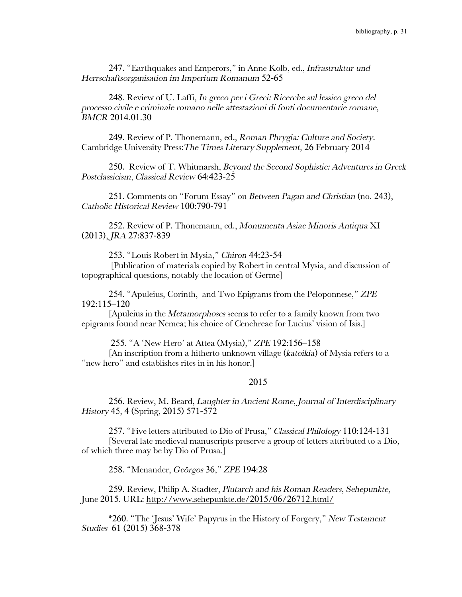247. "Earthquakes and Emperors," in Anne Kolb, ed., *Infrastruktur und Herrschaftsorganisation im Imperium Romanum* 52-65

248. Review of U. Laffi, *In greco per i Greci: Ricerche sul lessico greco del processo civile e criminale romano nelle attestazioni di fonti documentarie romane*, *BMCR* 2014.01.30

249. Review of P. Thonemann, ed., *Roman Phrygia: Culture and Society*. Cambridge University Press:*The Times Literary Supplement*, 26 February 2014

250. Review of T. Whitmarsh, *Beyond the Second Sophistic: Adventures in Greek Postclassicism, Classical Review* 64:423-25

251. Comments on "Forum Essay" on *Between Pagan and Christian* (no. 243), *Catholic Historical Review* 100:790-791

252. Review of P. Thonemann, ed., *Monumenta Asiae Minoris Antiqua* XI (2013), *JRA* 27:837-839

253. "Louis Robert in Mysia," *Chiron* 44:23-54

[Publication of materials copied by Robert in central Mysia, and discussion of topographical questions, notably the location of Germe]

254. "Apuleius, Corinth, and Two Epigrams from the Peloponnese," *ZPE*  192:115–120

[Apuleius in the *Metamorphoses* seems to refer to a family known from two epigrams found near Nemea; his choice of Cenchreae for Lucius' vision of Isis.]

255. "A 'New Hero' at Attea (Mysia)," *ZPE* 192:156–158

[An inscription from a hitherto unknown village (*katoikia*) of Mysia refers to a "new hero" and establishes rites in in his honor.]

## 2015

256. Review, M. Beard, *Laughter in Ancient Rome*, *Journal of Interdisciplinary History* 45, 4 (Spring, 2015) 571-572

257. "Five letters attributed to Dio of Prusa," *Classical Philology* 110:124-131 [Several late medieval manuscripts preserve a group of letters attributed to a Dio, of which three may be by Dio of Prusa.]

258. "Menander, *Geôrgos* 36," *ZPE* 194:28

259. Review, Philip A. Stadter, *Plutarch and his Roman Readers*, *Sehepunkte*, June 2015. URL: http://www.sehepunkte.de/2015/06/26712.html/

\*260. "The 'Jesus' Wife' Papyrus in the History of Forgery," *New Testament Studies* 61 (2015) 368-378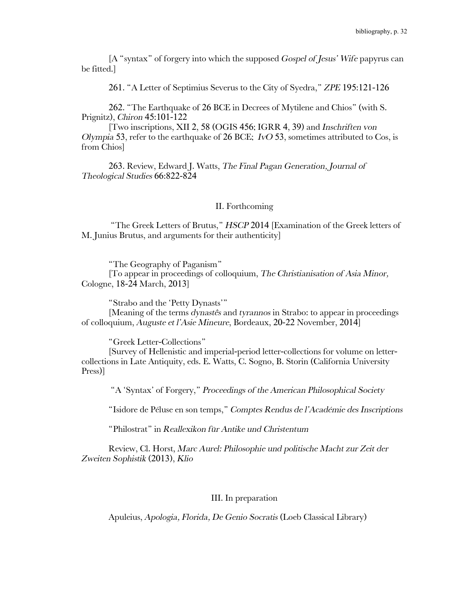[A "syntax" of forgery into which the supposed *Gospel of Jesus' Wife* papyrus can be fitted.]

261. "A Letter of Septimius Severus to the City of Syedra," *ZPE* 195:121-126

262. "The Earthquake of 26 BCE in Decrees of Mytilene and Chios" (with S. Prignitz), *Chiron* 45:101-122

[Two inscriptions, XII 2, 58 (OGIS 456; IGRR 4, 39) and *Inschriften von Olympia* 53, refer to the earthquake of 26 BCE; *IvO* 53, sometimes attributed to Cos, is from Chios]

263. Review, Edward J. Watts, *The Final Pagan Generation, Journal of Theological Studies* 66:822-824

### II. Forthcoming

"The Greek Letters of Brutus," *HSCP* 2014 [Examination of the Greek letters of M. Junius Brutus, and arguments for their authenticity]

"The Geography of Paganism" [To appear in proceedings of colloquium, *The Christianisation of Asia Minor,*  Cologne, 18-24 March, 2013]

"Strabo and the 'Petty Dynasts'"

[Meaning of the terms *dynastês* and *tyrannos* in Strabo: to appear in proceedings of colloquium, *Auguste et l'Asie Mineure*, Bordeaux, 20-22 November, 2014]

"Greek Letter-Collections"

[Survey of Hellenistic and imperial-period letter-collections for volume on lettercollections in Late Antiquity, eds. E. Watts, C. Sogno, B. Storin (California University Press)]

"A 'Syntax' of Forgery," *Proceedings of the American Philosophical Society*

"Isidore de Péluse en son temps," *Comptes Rendus de l'Académie des Inscriptions*

"Philostrat" in *Reallexikon für Antike und Christentum*

Review, Cl. Horst, *Marc Aurel: Philosophie und politische Macht zur Zeit der Zweiten Sophistik* (2013), *Klio*

# III. In preparation

Apuleius, *Apologia, Florida, De Genio Socratis* (Loeb Classical Library)